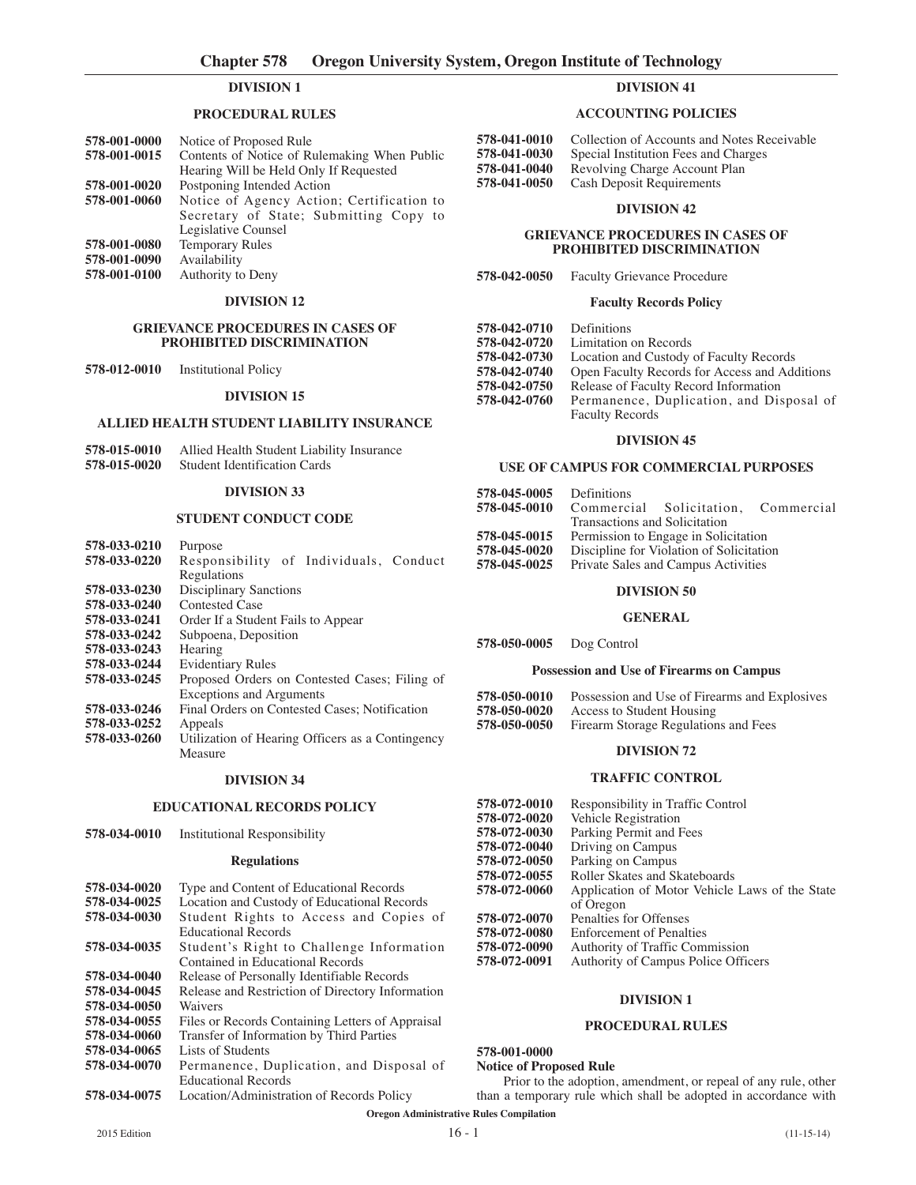## **DIVISION 1**

## **PROCEDURAL RULES**

| 578-001-0000 | Notice of Proposed Rule                      |
|--------------|----------------------------------------------|
| 578-001-0015 | Contents of Notice of Rulemaking When Public |
|              | Hearing Will be Held Only If Requested       |
| 578-001-0020 | Postponing Intended Action                   |
| 578-001-0060 | Notice of Agency Action; Certification to    |
|              | Secretary of State; Submitting Copy to       |
|              | Legislative Counsel                          |
| 578-001-0080 | <b>Temporary Rules</b>                       |
| 578-001-0090 | Availability                                 |
| 578-001-0100 | Authority to Deny                            |
|              |                                              |

### **DIVISION 12**

#### **GRIEVANCE PROCEDURES IN CASES OF PROHIBITED DISCRIMINATION**

**578-012-0010** Institutional Policy

#### **DIVISION 15**

### **ALLIED HEALTH STUDENT LIABILITY INSURANCE**

| 578-015-0010 | Allied Health Student Liability Insurance |
|--------------|-------------------------------------------|
| 578-015-0020 | <b>Student Identification Cards</b>       |

## **DIVISION 33**

## **STUDENT CONDUCT CODE**

| 578-033-0210 | Purpose                                          |
|--------------|--------------------------------------------------|
| 578-033-0220 | Responsibility of Individuals, Conduct           |
|              | Regulations                                      |
| 578-033-0230 | <b>Disciplinary Sanctions</b>                    |
| 578-033-0240 | Contested Case                                   |
| 578-033-0241 | Order If a Student Fails to Appear               |
| 578-033-0242 | Subpoena, Deposition                             |
| 578-033-0243 | Hearing                                          |
| 578-033-0244 | <b>Evidentiary Rules</b>                         |
| 578-033-0245 | Proposed Orders on Contested Cases; Filing of    |
|              | <b>Exceptions and Arguments</b>                  |
| 578-033-0246 | Final Orders on Contested Cases: Notification    |
| 578-033-0252 | Appeals                                          |
| 578-033-0260 | Utilization of Hearing Officers as a Contingency |
|              | Measure                                          |

#### **DIVISION 34**

# **EDUCATIONAL RECORDS POLICY**

**578-034-0010** Institutional Responsibility

#### **Regulations**

578-034-0020 Type and Content of Educational Records<br>578-034-0025 Location and Custody of Educational Reco **578-034-0025** Location and Custody of Educational Records Student Rights to Access and Copies of Educational Records **578-034-0035** Student's Right to Challenge Information Contained in Educational Records **578-034-0040** Release of Personally Identifiable Records<br>**578-034-0045** Release and Restriction of Directory Inform **578-034-0045** Release and Restriction of Directory Information **578-034-0050** Waivers<br>**578-034-0055** Files or **578-034-0055** Files or Records Containing Letters of Appraisal **578-034-0060** Transfer of Information by Third Parties **578-034-0060** Transfer of Information by Third Parties Lists of Students **578-034-0070** Permanence, Duplication, and Disposal of Educational Records **578-034-0075** Location/Administration of Records Policy

# **DIVISION 41**

## **ACCOUNTING POLICIES**

| Collection of Accounts and Notes Receivable |
|---------------------------------------------|
| Special Institution Fees and Charges        |
| Revolving Charge Account Plan               |
| <b>Cash Deposit Requirements</b>            |
|                                             |

#### **DIVISION 42**

#### **GRIEVANCE PROCEDURES IN CASES OF PROHIBITED DISCRIMINATION**

#### **578-042-0050** Faculty Grievance Procedure

## **Faculty Records Policy**

| 578-042-0710 | Definitions                                   |
|--------------|-----------------------------------------------|
| 578-042-0720 | Limitation on Records                         |
| 578-042-0730 | Location and Custody of Faculty Records       |
| 578-042-0740 | Open Faculty Records for Access and Additions |
| 578-042-0750 | Release of Faculty Record Information         |
| 578-042-0760 | Permanence, Duplication, and Disposal of      |
|              | <b>Faculty Records</b>                        |

## **DIVISION 45**

#### **USE OF CAMPUS FOR COMMERCIAL PURPOSES**

| 578-045-0005 | Definitions                   |                                          |  |
|--------------|-------------------------------|------------------------------------------|--|
| 578-045-0010 |                               | Commercial Solicitation, Commercial      |  |
|              | Transactions and Solicitation |                                          |  |
| 578-045-0015 |                               | Permission to Engage in Solicitation     |  |
| 578-045-0020 |                               | Discipline for Violation of Solicitation |  |
| 578-045-0025 |                               | Private Sales and Campus Activities      |  |
|              |                               |                                          |  |

# **DIVISION 50**

# **GENERAL**

**578-050-0005** Dog Control

#### **Possession and Use of Firearms on Campus**

| 578-050-0010 | Possession and Use of Firearms and Explosives |
|--------------|-----------------------------------------------|
| 578-050-0020 | Access to Student Housing                     |
| 578-050-0050 | Firearm Storage Regulations and Fees          |

## **DIVISION 72**

#### **TRAFFIC CONTROL**

| 578-072-0010 | Responsibility in Traffic Control              |
|--------------|------------------------------------------------|
| 578-072-0020 | Vehicle Registration                           |
| 578-072-0030 | Parking Permit and Fees                        |
| 578-072-0040 | Driving on Campus                              |
| 578-072-0050 | Parking on Campus                              |
| 578-072-0055 | Roller Skates and Skateboards                  |
| 578-072-0060 | Application of Motor Vehicle Laws of the State |
|              | of Oregon                                      |
| 578-072-0070 | Penalties for Offenses                         |
| 578-072-0080 | <b>Enforcement of Penalties</b>                |
| 578-072-0090 | <b>Authority of Traffic Commission</b>         |
| 578-072-0091 | Authority of Campus Police Officers            |
|              |                                                |

# **DIVISION 1**

# **PROCEDURAL RULES**

# **578-001-0000**

#### **Notice of Proposed Rule**

Prior to the adoption, amendment, or repeal of any rule, other than a temporary rule which shall be adopted in accordance with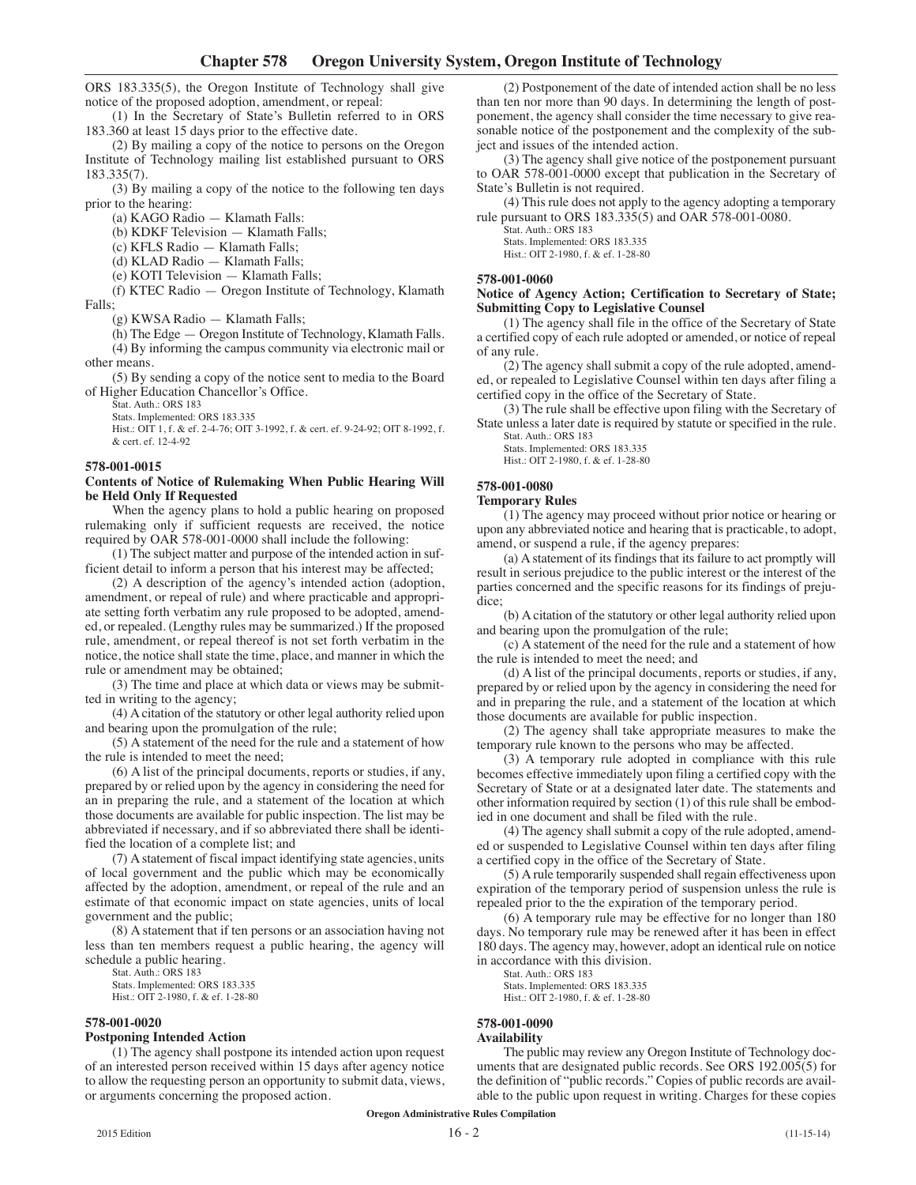ORS 183.335(5), the Oregon Institute of Technology shall give notice of the proposed adoption, amendment, or repeal:

(1) In the Secretary of State's Bulletin referred to in ORS 183.360 at least 15 days prior to the effective date.

(2) By mailing a copy of the notice to persons on the Oregon Institute of Technology mailing list established pursuant to ORS 183.335(7).

(3) By mailing a copy of the notice to the following ten days prior to the hearing:

(a) KAGO Radio — Klamath Falls:

(b) KDKF Television — Klamath Falls;

(c) KFLS Radio — Klamath Falls;

(d) KLAD Radio — Klamath Falls;

(e) KOTI Television — Klamath Falls;

(f) KTEC Radio — Oregon Institute of Technology, Klamath Falls;

(g) KWSA Radio — Klamath Falls;

(h) The Edge — Oregon Institute of Technology, Klamath Falls.

(4) By informing the campus community via electronic mail or other means.

(5) By sending a copy of the notice sent to media to the Board of Higher Education Chancellor's Office.

Stat. Auth.: ORS 183

Stats. Implemented: ORS 183.335

Hist.: OIT 1, f. & ef. 2-4-76; OIT 3-1992, f. & cert. ef. 9-24-92; OIT 8-1992, f. & cert. ef. 12-4-92

#### **578-001-0015**

#### **Contents of Notice of Rulemaking When Public Hearing Will be Held Only If Requested**

When the agency plans to hold a public hearing on proposed rulemaking only if sufficient requests are received, the notice required by OAR 578-001-0000 shall include the following:

(1) The subject matter and purpose of the intended action in sufficient detail to inform a person that his interest may be affected;

(2) A description of the agency's intended action (adoption, amendment, or repeal of rule) and where practicable and appropriate setting forth verbatim any rule proposed to be adopted, amended, or repealed. (Lengthy rules may be summarized.) If the proposed rule, amendment, or repeal thereof is not set forth verbatim in the notice, the notice shall state the time, place, and manner in which the rule or amendment may be obtained;

(3) The time and place at which data or views may be submitted in writing to the agency;

(4) Acitation of the statutory or other legal authority relied upon and bearing upon the promulgation of the rule;

(5) A statement of the need for the rule and a statement of how the rule is intended to meet the need;

(6) A list of the principal documents, reports or studies, if any, prepared by or relied upon by the agency in considering the need for an in preparing the rule, and a statement of the location at which those documents are available for public inspection. The list may be abbreviated if necessary, and if so abbreviated there shall be identified the location of a complete list; and

(7) A statement of fiscal impact identifying state agencies, units of local government and the public which may be economically affected by the adoption, amendment, or repeal of the rule and an estimate of that economic impact on state agencies, units of local government and the public;

(8) A statement that if ten persons or an association having not less than ten members request a public hearing, the agency will schedule a public hearing.

Stat. Auth.: ORS 183 Stats. Implemented: ORS 183.335

Hist.: OIT 2-1980, f. & ef. 1-28-80

## **578-001-0020**

#### **Postponing Intended Action**

(1) The agency shall postpone its intended action upon request of an interested person received within 15 days after agency notice to allow the requesting person an opportunity to submit data, views, or arguments concerning the proposed action.

(2) Postponement of the date of intended action shall be no less than ten nor more than 90 days. In determining the length of postponement, the agency shall consider the time necessary to give reasonable notice of the postponement and the complexity of the subject and issues of the intended action.

(3) The agency shall give notice of the postponement pursuant to OAR 578-001-0000 except that publication in the Secretary of State's Bulletin is not required.

(4) This rule does not apply to the agency adopting a temporary rule pursuant to ORS 183.335(5) and OAR 578-001-0080.

Stat. Auth.: ORS 183 Stats. Implemented: ORS 183.335 Hist.: OIT 2-1980, f. & ef. 1-28-80

#### **578-001-0060**

#### **Notice of Agency Action; Certification to Secretary of State; Submitting Copy to Legislative Counsel**

(1) The agency shall file in the office of the Secretary of State a certified copy of each rule adopted or amended, or notice of repeal of any rule.

(2) The agency shall submit a copy of the rule adopted, amended, or repealed to Legislative Counsel within ten days after filing a certified copy in the office of the Secretary of State.

(3) The rule shall be effective upon filing with the Secretary of State unless a later date is required by statute or specified in the rule. Stat. Auth.: ORS 183

Stats. Implemented: ORS 183.335

Hist.: OIT 2-1980, f. & ef. 1-28-80

# **578-001-0080**

## **Temporary Rules**

(1) The agency may proceed without prior notice or hearing or upon any abbreviated notice and hearing that is practicable, to adopt, amend, or suspend a rule, if the agency prepares:

(a) Astatement of its findings that its failure to act promptly will result in serious prejudice to the public interest or the interest of the parties concerned and the specific reasons for its findings of prejudice;

(b) Acitation of the statutory or other legal authority relied upon and bearing upon the promulgation of the rule;

(c) A statement of the need for the rule and a statement of how the rule is intended to meet the need; and

(d) A list of the principal documents, reports or studies, if any, prepared by or relied upon by the agency in considering the need for and in preparing the rule, and a statement of the location at which those documents are available for public inspection.

(2) The agency shall take appropriate measures to make the temporary rule known to the persons who may be affected.

(3) A temporary rule adopted in compliance with this rule becomes effective immediately upon filing a certified copy with the Secretary of State or at a designated later date. The statements and other information required by section (1) of this rule shall be embodied in one document and shall be filed with the rule.

(4) The agency shall submit a copy of the rule adopted, amended or suspended to Legislative Counsel within ten days after filing a certified copy in the office of the Secretary of State.

(5) Arule temporarily suspended shall regain effectiveness upon expiration of the temporary period of suspension unless the rule is repealed prior to the the expiration of the temporary period.

(6) A temporary rule may be effective for no longer than 180 days. No temporary rule may be renewed after it has been in effect 180 days. The agency may, however, adopt an identical rule on notice in accordance with this division.

Stat. Auth.: ORS 183

Stats. Implemented: ORS 183.335 Hist.: OIT 2-1980, f. & ef. 1-28-80

## **578-001-0090**

## **Availability**

The public may review any Oregon Institute of Technology documents that are designated public records. See ORS 192.005(5) for the definition of "public records." Copies of public records are available to the public upon request in writing. Charges for these copies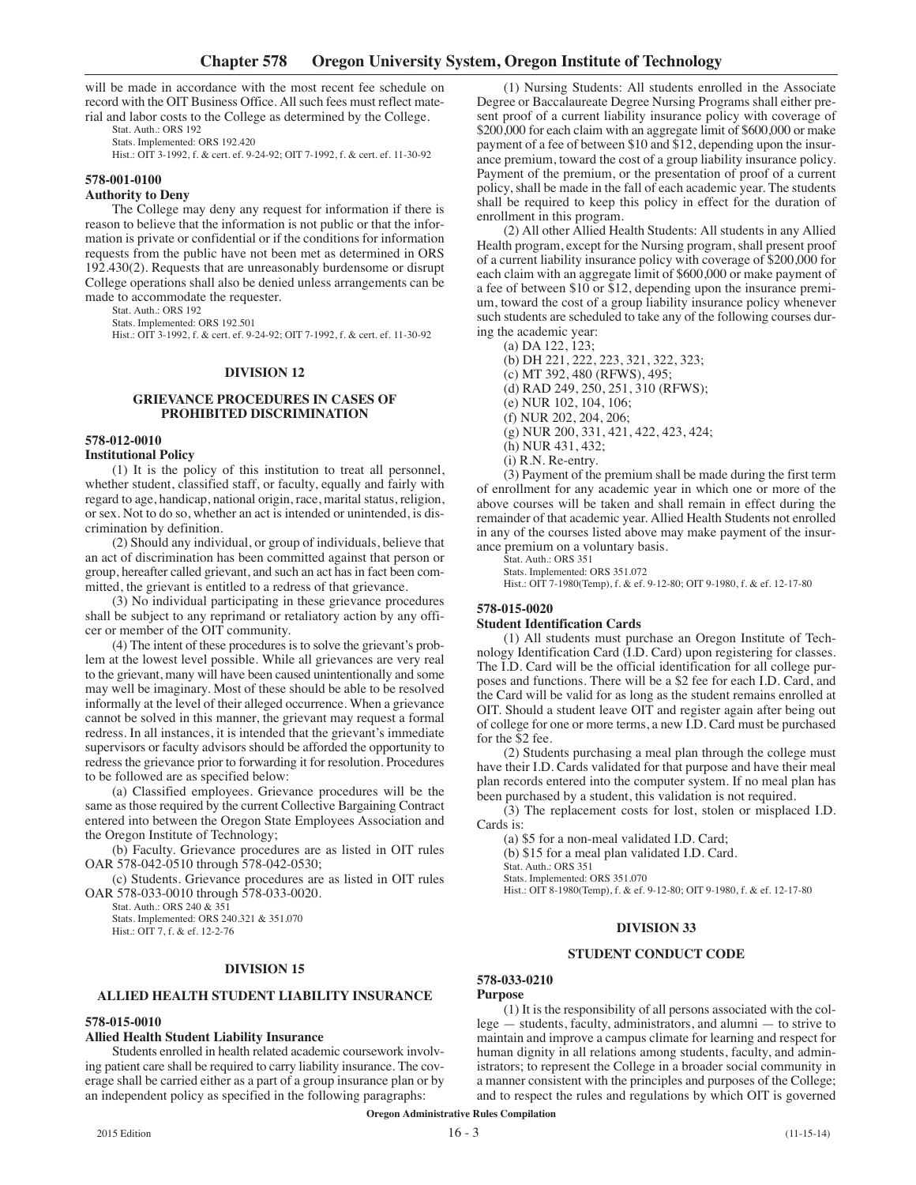will be made in accordance with the most recent fee schedule on record with the OIT Business Office. All such fees must reflect material and labor costs to the College as determined by the College.

Stat. Auth.: ORS 192 Stats. Implemented: ORS 192.420

Hist.: OIT 3-1992, f. & cert. ef. 9-24-92; OIT 7-1992, f. & cert. ef. 11-30-92

#### **578-001-0100**

#### **Authority to Deny**

The College may deny any request for information if there is reason to believe that the information is not public or that the information is private or confidential or if the conditions for information requests from the public have not been met as determined in ORS 192.430(2). Requests that are unreasonably burdensome or disrupt College operations shall also be denied unless arrangements can be made to accommodate the requester.

Stat. Auth.: ORS 192

Stats. Implemented: ORS 192.501

Hist.: OIT 3-1992, f. & cert. ef. 9-24-92; OIT 7-1992, f. & cert. ef. 11-30-92

#### **DIVISION 12**

#### **GRIEVANCE PROCEDURES IN CASES OF PROHIBITED DISCRIMINATION**

#### **578-012-0010 Institutional Policy**

(1) It is the policy of this institution to treat all personnel, whether student, classified staff, or faculty, equally and fairly with regard to age, handicap, national origin, race, marital status, religion, or sex. Not to do so, whether an act is intended or unintended, is discrimination by definition.

(2) Should any individual, or group of individuals, believe that an act of discrimination has been committed against that person or group, hereafter called grievant, and such an act has in fact been committed, the grievant is entitled to a redress of that grievance.

(3) No individual participating in these grievance procedures shall be subject to any reprimand or retaliatory action by any officer or member of the OIT community.

(4) The intent of these procedures is to solve the grievant's problem at the lowest level possible. While all grievances are very real to the grievant, many will have been caused unintentionally and some may well be imaginary. Most of these should be able to be resolved informally at the level of their alleged occurrence. When a grievance cannot be solved in this manner, the grievant may request a formal redress. In all instances, it is intended that the grievant's immediate supervisors or faculty advisors should be afforded the opportunity to redress the grievance prior to forwarding it for resolution. Procedures to be followed are as specified below:

(a) Classified employees. Grievance procedures will be the same as those required by the current Collective Bargaining Contract entered into between the Oregon State Employees Association and the Oregon Institute of Technology;

(b) Faculty. Grievance procedures are as listed in OIT rules OAR 578-042-0510 through 578-042-0530;

(c) Students. Grievance procedures are as listed in OIT rules OAR 578-033-0010 through 578-033-0020.

Stat. Auth.: ORS 240 & 351 Stats. Implemented: ORS 240.321 & 351.070 Hist.: OIT 7, f. & ef. 12-2-76

#### **DIVISION 15**

#### **ALLIED HEALTH STUDENT LIABILITY INSURANCE**

## **578-015-0010**

## **Allied Health Student Liability Insurance**

Students enrolled in health related academic coursework involving patient care shall be required to carry liability insurance. The coverage shall be carried either as a part of a group insurance plan or by an independent policy as specified in the following paragraphs:

(1) Nursing Students: All students enrolled in the Associate Degree or Baccalaureate Degree Nursing Programs shall either present proof of a current liability insurance policy with coverage of \$200,000 for each claim with an aggregate limit of \$600,000 or make payment of a fee of between \$10 and \$12, depending upon the insurance premium, toward the cost of a group liability insurance policy. Payment of the premium, or the presentation of proof of a current policy, shall be made in the fall of each academic year. The students shall be required to keep this policy in effect for the duration of enrollment in this program.

(2) All other Allied Health Students: All students in any Allied Health program, except for the Nursing program, shall present proof of a current liability insurance policy with coverage of \$200,000 for each claim with an aggregate limit of \$600,000 or make payment of a fee of between \$10 or \$12, depending upon the insurance premium, toward the cost of a group liability insurance policy whenever such students are scheduled to take any of the following courses during the academic year:

(a) DA 122, 123; (b) DH 221, 222, 223, 321, 322, 323; (c) MT 392, 480 (RFWS), 495; (d) RAD 249, 250, 251, 310 (RFWS); (e) NUR 102, 104, 106; (f) NUR 202, 204, 206; (g) NUR 200, 331, 421, 422, 423, 424; (h) NUR 431, 432; (i) R.N. Re-entry. (3) Payment of the premium shall be made during the first term

of enrollment for any academic year in which one or more of the above courses will be taken and shall remain in effect during the remainder of that academic year. Allied Health Students not enrolled in any of the courses listed above may make payment of the insurance premium on a voluntary basis.

Stat. Auth.: ORS 351

Stats. Implemented: ORS 351.072 Hist.: OIT 7-1980(Temp), f. & ef. 9-12-80; OIT 9-1980, f. & ef. 12-17-80

## **578-015-0020**

## **Student Identification Cards**

(1) All students must purchase an Oregon Institute of Technology Identification Card (I.D. Card) upon registering for classes. The I.D. Card will be the official identification for all college purposes and functions. There will be a \$2 fee for each I.D. Card, and the Card will be valid for as long as the student remains enrolled at OIT. Should a student leave OIT and register again after being out of college for one or more terms, a new I.D. Card must be purchased for the \$2 fee.

(2) Students purchasing a meal plan through the college must have their I.D. Cards validated for that purpose and have their meal plan records entered into the computer system. If no meal plan has been purchased by a student, this validation is not required.

(3) The replacement costs for lost, stolen or misplaced I.D. Cards is:

(a) \$5 for a non-meal validated I.D. Card;

(b) \$15 for a meal plan validated I.D. Card.

Stat. Auth.: ORS 351 Stats. Implemented: ORS 351.070

Hist.: OIT 8-1980(Temp), f. & ef. 9-12-80; OIT 9-1980, f. & ef. 12-17-80

## **DIVISION 33**

#### **STUDENT CONDUCT CODE**

# **578-033-0210**

## **Purpose**

(1) It is the responsibility of all persons associated with the college — students, faculty, administrators, and alumni — to strive to maintain and improve a campus climate for learning and respect for human dignity in all relations among students, faculty, and administrators; to represent the College in a broader social community in a manner consistent with the principles and purposes of the College; and to respect the rules and regulations by which OIT is governed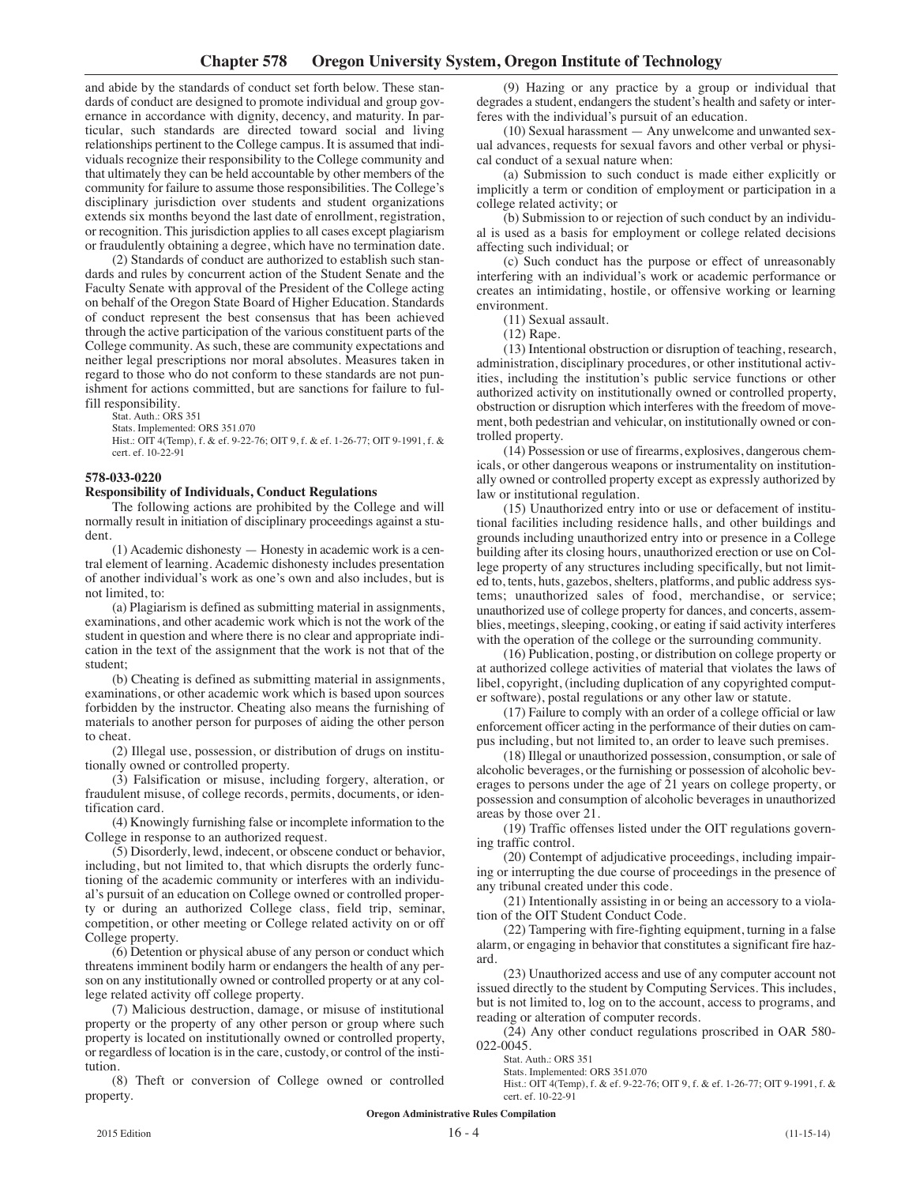and abide by the standards of conduct set forth below. These standards of conduct are designed to promote individual and group governance in accordance with dignity, decency, and maturity. In particular, such standards are directed toward social and living relationships pertinent to the College campus. It is assumed that individuals recognize their responsibility to the College community and that ultimately they can be held accountable by other members of the community for failure to assume those responsibilities. The College's disciplinary jurisdiction over students and student organizations extends six months beyond the last date of enrollment, registration, or recognition. This jurisdiction applies to all cases except plagiarism or fraudulently obtaining a degree, which have no termination date.

(2) Standards of conduct are authorized to establish such standards and rules by concurrent action of the Student Senate and the Faculty Senate with approval of the President of the College acting on behalf of the Oregon State Board of Higher Education. Standards of conduct represent the best consensus that has been achieved through the active participation of the various constituent parts of the College community. As such, these are community expectations and neither legal prescriptions nor moral absolutes. Measures taken in regard to those who do not conform to these standards are not punishment for actions committed, but are sanctions for failure to fulfill responsibility.

Stat. Auth.: ORS 351

Stats. Implemented: ORS 351.070

Hist.: OIT 4(Temp), f. & ef. 9-22-76; OIT 9, f. & ef. 1-26-77; OIT 9-1991, f. & cert. ef. 10-22-91

## **578-033-0220**

## **Responsibility of Individuals, Conduct Regulations**

The following actions are prohibited by the College and will normally result in initiation of disciplinary proceedings against a student.

(1) Academic dishonesty — Honesty in academic work is a central element of learning. Academic dishonesty includes presentation of another individual's work as one's own and also includes, but is not limited, to:

(a) Plagiarism is defined as submitting material in assignments, examinations, and other academic work which is not the work of the student in question and where there is no clear and appropriate indication in the text of the assignment that the work is not that of the student;

(b) Cheating is defined as submitting material in assignments, examinations, or other academic work which is based upon sources forbidden by the instructor. Cheating also means the furnishing of materials to another person for purposes of aiding the other person to cheat.

(2) Illegal use, possession, or distribution of drugs on institutionally owned or controlled property.

(3) Falsification or misuse, including forgery, alteration, or fraudulent misuse, of college records, permits, documents, or identification card.

(4) Knowingly furnishing false or incomplete information to the College in response to an authorized request.

(5) Disorderly, lewd, indecent, or obscene conduct or behavior, including, but not limited to, that which disrupts the orderly functioning of the academic community or interferes with an individual's pursuit of an education on College owned or controlled property or during an authorized College class, field trip, seminar, competition, or other meeting or College related activity on or off College property.

(6) Detention or physical abuse of any person or conduct which threatens imminent bodily harm or endangers the health of any person on any institutionally owned or controlled property or at any college related activity off college property.

(7) Malicious destruction, damage, or misuse of institutional property or the property of any other person or group where such property is located on institutionally owned or controlled property, or regardless of location is in the care, custody, or control of the institution.

(8) Theft or conversion of College owned or controlled property.

(9) Hazing or any practice by a group or individual that degrades a student, endangers the student's health and safety or interferes with the individual's pursuit of an education.

(10) Sexual harassment — Any unwelcome and unwanted sexual advances, requests for sexual favors and other verbal or physical conduct of a sexual nature when:

(a) Submission to such conduct is made either explicitly or implicitly a term or condition of employment or participation in a college related activity; or

(b) Submission to or rejection of such conduct by an individual is used as a basis for employment or college related decisions affecting such individual; or

(c) Such conduct has the purpose or effect of unreasonably interfering with an individual's work or academic performance or creates an intimidating, hostile, or offensive working or learning environment.

(11) Sexual assault.

(12) Rape.

(13) Intentional obstruction or disruption of teaching, research, administration, disciplinary procedures, or other institutional activities, including the institution's public service functions or other authorized activity on institutionally owned or controlled property, obstruction or disruption which interferes with the freedom of movement, both pedestrian and vehicular, on institutionally owned or controlled property.

(14) Possession or use of firearms, explosives, dangerous chemicals, or other dangerous weapons or instrumentality on institutionally owned or controlled property except as expressly authorized by law or institutional regulation.

(15) Unauthorized entry into or use or defacement of institutional facilities including residence halls, and other buildings and grounds including unauthorized entry into or presence in a College building after its closing hours, unauthorized erection or use on College property of any structures including specifically, but not limited to, tents, huts, gazebos, shelters, platforms, and public address systems; unauthorized sales of food, merchandise, or service; unauthorized use of college property for dances, and concerts, assemblies, meetings, sleeping, cooking, or eating if said activity interferes with the operation of the college or the surrounding community.

(16) Publication, posting, or distribution on college property or at authorized college activities of material that violates the laws of libel, copyright, (including duplication of any copyrighted computer software), postal regulations or any other law or statute.

(17) Failure to comply with an order of a college official or law enforcement officer acting in the performance of their duties on campus including, but not limited to, an order to leave such premises.

(18) Illegal or unauthorized possession, consumption, or sale of alcoholic beverages, or the furnishing or possession of alcoholic beverages to persons under the age of 21 years on college property, or possession and consumption of alcoholic beverages in unauthorized areas by those over 21.

(19) Traffic offenses listed under the OIT regulations governing traffic control.

(20) Contempt of adjudicative proceedings, including impairing or interrupting the due course of proceedings in the presence of any tribunal created under this code.

(21) Intentionally assisting in or being an accessory to a violation of the OIT Student Conduct Code.

(22) Tampering with fire-fighting equipment, turning in a false alarm, or engaging in behavior that constitutes a significant fire hazard.

(23) Unauthorized access and use of any computer account not issued directly to the student by Computing Services. This includes, but is not limited to, log on to the account, access to programs, and reading or alteration of computer records.

(24) Any other conduct regulations proscribed in OAR 580- 022-0045.

Stat. Auth.: ORS 351

Stats. Implemented: ORS 351.070

Hist.: OIT 4(Temp), f. & ef. 9-22-76; OIT 9, f. & ef. 1-26-77; OIT 9-1991, f. & cert. ef. 10-22-91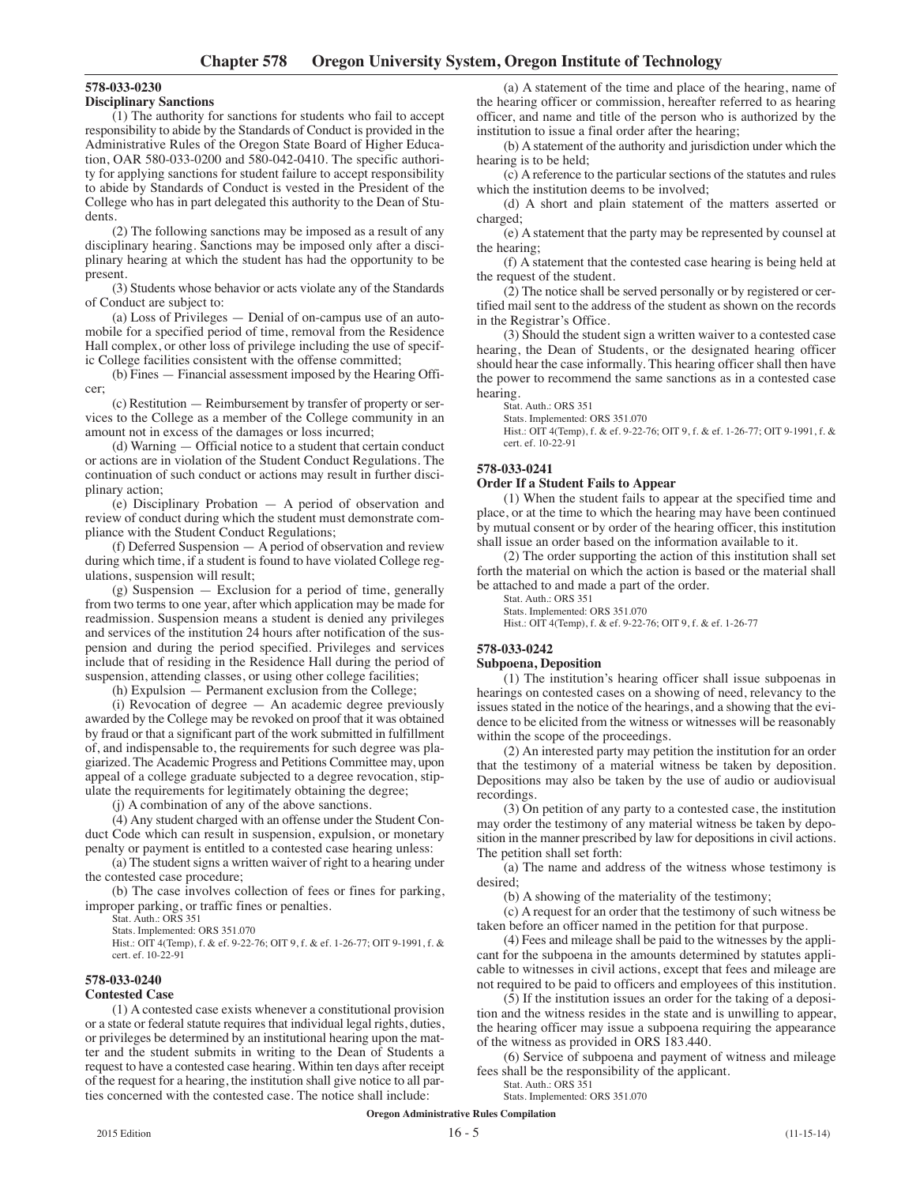# **578-033-0230**

## **Disciplinary Sanctions**

(1) The authority for sanctions for students who fail to accept responsibility to abide by the Standards of Conduct is provided in the Administrative Rules of the Oregon State Board of Higher Education, OAR 580-033-0200 and 580-042-0410. The specific authority for applying sanctions for student failure to accept responsibility to abide by Standards of Conduct is vested in the President of the College who has in part delegated this authority to the Dean of Students.

(2) The following sanctions may be imposed as a result of any disciplinary hearing. Sanctions may be imposed only after a disciplinary hearing at which the student has had the opportunity to be present.

(3) Students whose behavior or acts violate any of the Standards of Conduct are subject to:

(a) Loss of Privileges — Denial of on-campus use of an automobile for a specified period of time, removal from the Residence Hall complex, or other loss of privilege including the use of specific College facilities consistent with the offense committed;

(b) Fines — Financial assessment imposed by the Hearing Officer;

(c) Restitution — Reimbursement by transfer of property or services to the College as a member of the College community in an amount not in excess of the damages or loss incurred;

(d) Warning — Official notice to a student that certain conduct or actions are in violation of the Student Conduct Regulations. The continuation of such conduct or actions may result in further disciplinary action;

(e) Disciplinary Probation — A period of observation and review of conduct during which the student must demonstrate compliance with the Student Conduct Regulations;

(f) Deferred Suspension — A period of observation and review during which time, if a student is found to have violated College regulations, suspension will result;

(g) Suspension — Exclusion for a period of time, generally from two terms to one year, after which application may be made for readmission. Suspension means a student is denied any privileges and services of the institution 24 hours after notification of the suspension and during the period specified. Privileges and services include that of residing in the Residence Hall during the period of suspension, attending classes, or using other college facilities;

(h) Expulsion — Permanent exclusion from the College;

(i) Revocation of degree — An academic degree previously awarded by the College may be revoked on proof that it was obtained by fraud or that a significant part of the work submitted in fulfillment of, and indispensable to, the requirements for such degree was plagiarized. The Academic Progress and Petitions Committee may, upon appeal of a college graduate subjected to a degree revocation, stipulate the requirements for legitimately obtaining the degree;

(j) A combination of any of the above sanctions.

(4) Any student charged with an offense under the Student Conduct Code which can result in suspension, expulsion, or monetary penalty or payment is entitled to a contested case hearing unless:

(a) The student signs a written waiver of right to a hearing under the contested case procedure;

(b) The case involves collection of fees or fines for parking, improper parking, or traffic fines or penalties.

Stat. Auth.: ORS 351

Stats. Implemented: ORS 351.070

Hist.: OIT 4(Temp), f. & ef. 9-22-76; OIT 9, f. & ef. 1-26-77; OIT 9-1991, f. & cert. ef. 10-22-91

# **578-033-0240**

#### **Contested Case**

(1) A contested case exists whenever a constitutional provision or a state or federal statute requires that individual legal rights, duties, or privileges be determined by an institutional hearing upon the matter and the student submits in writing to the Dean of Students a request to have a contested case hearing. Within ten days after receipt of the request for a hearing, the institution shall give notice to all parties concerned with the contested case. The notice shall include:

(a) A statement of the time and place of the hearing, name of the hearing officer or commission, hereafter referred to as hearing officer, and name and title of the person who is authorized by the institution to issue a final order after the hearing;

(b) A statement of the authority and jurisdiction under which the hearing is to be held;

(c) A reference to the particular sections of the statutes and rules which the institution deems to be involved;

(d) A short and plain statement of the matters asserted or charged;

(e) A statement that the party may be represented by counsel at the hearing;

(f) A statement that the contested case hearing is being held at the request of the student.

(2) The notice shall be served personally or by registered or certified mail sent to the address of the student as shown on the records in the Registrar's Office.

(3) Should the student sign a written waiver to a contested case hearing, the Dean of Students, or the designated hearing officer should hear the case informally. This hearing officer shall then have the power to recommend the same sanctions as in a contested case hearing.

Stat. Auth.: ORS 351

Stats. Implemented: ORS 351.070

Hist.: OIT 4(Temp), f. & ef. 9-22-76; OIT 9, f. & ef. 1-26-77; OIT 9-1991, f. & cert. ef. 10-22-91

# **578-033-0241**

## **Order If a Student Fails to Appear**

(1) When the student fails to appear at the specified time and place, or at the time to which the hearing may have been continued by mutual consent or by order of the hearing officer, this institution shall issue an order based on the information available to it.

(2) The order supporting the action of this institution shall set forth the material on which the action is based or the material shall be attached to and made a part of the order.

Stat. Auth.: ORS 351 Stats. Implemented: ORS 351.070

Hist.: OIT 4(Temp), f. & ef. 9-22-76; OIT 9, f. & ef. 1-26-77

## **578-033-0242**

#### **Subpoena, Deposition**

(1) The institution's hearing officer shall issue subpoenas in hearings on contested cases on a showing of need, relevancy to the issues stated in the notice of the hearings, and a showing that the evidence to be elicited from the witness or witnesses will be reasonably within the scope of the proceedings.

(2) An interested party may petition the institution for an order that the testimony of a material witness be taken by deposition. Depositions may also be taken by the use of audio or audiovisual recordings.

(3) On petition of any party to a contested case, the institution may order the testimony of any material witness be taken by deposition in the manner prescribed by law for depositions in civil actions. The petition shall set forth:

(a) The name and address of the witness whose testimony is desired;

(b) A showing of the materiality of the testimony;

(c) A request for an order that the testimony of such witness be taken before an officer named in the petition for that purpose.

(4) Fees and mileage shall be paid to the witnesses by the applicant for the subpoena in the amounts determined by statutes applicable to witnesses in civil actions, except that fees and mileage are not required to be paid to officers and employees of this institution.

(5) If the institution issues an order for the taking of a deposition and the witness resides in the state and is unwilling to appear, the hearing officer may issue a subpoena requiring the appearance of the witness as provided in ORS 183.440.

(6) Service of subpoena and payment of witness and mileage fees shall be the responsibility of the applicant.

Stat. Auth.: ORS 351 Stats. Implemented: ORS 351.070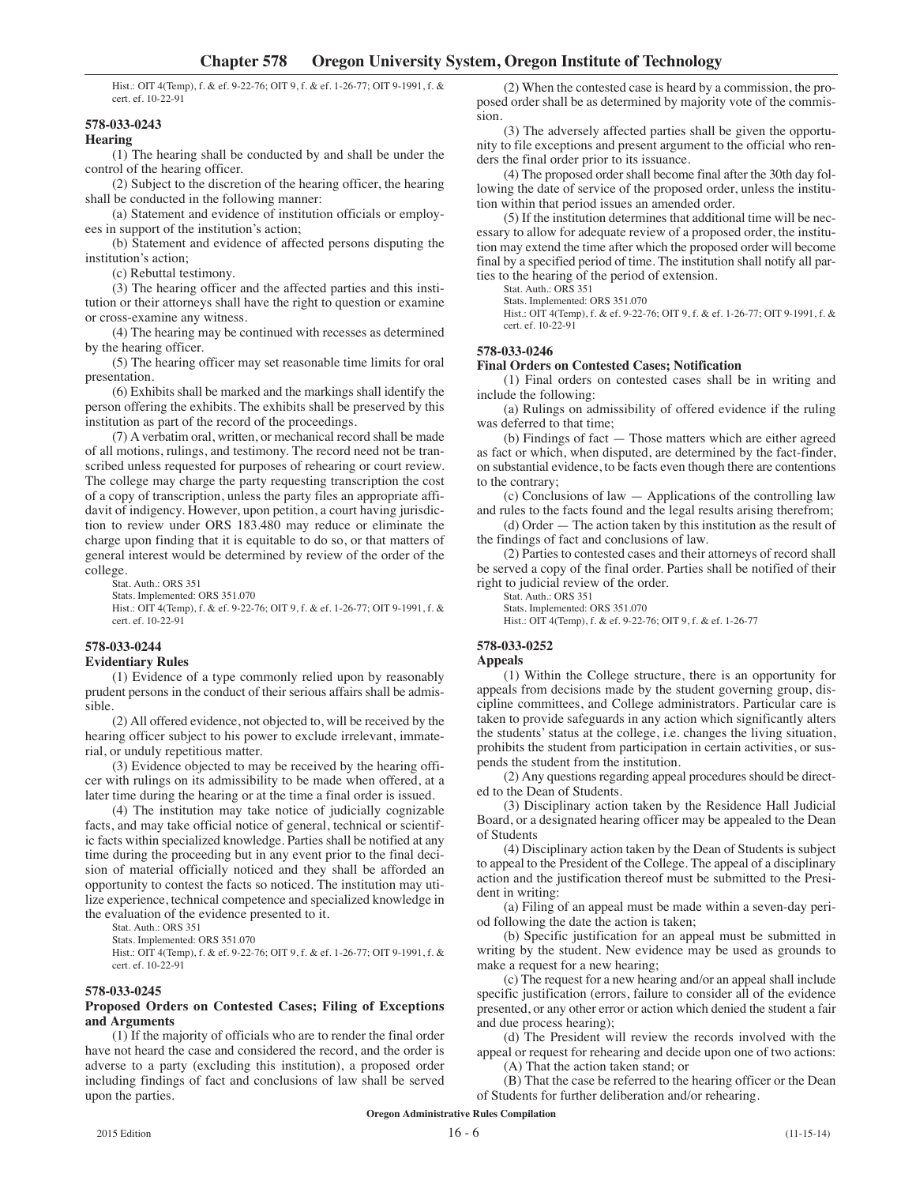Hist.: OIT 4(Temp), f. & ef. 9-22-76; OIT 9, f. & ef. 1-26-77; OIT 9-1991, f. & cert. ef. 10-22-91

## **578-033-0243**

# **Hearing**

(1) The hearing shall be conducted by and shall be under the control of the hearing officer.

(2) Subject to the discretion of the hearing officer, the hearing shall be conducted in the following manner:

(a) Statement and evidence of institution officials or employees in support of the institution's action;

(b) Statement and evidence of affected persons disputing the institution's action;

(c) Rebuttal testimony.

(3) The hearing officer and the affected parties and this institution or their attorneys shall have the right to question or examine or cross-examine any witness.

(4) The hearing may be continued with recesses as determined by the hearing officer.

(5) The hearing officer may set reasonable time limits for oral presentation.

(6) Exhibits shall be marked and the markings shall identify the person offering the exhibits. The exhibits shall be preserved by this institution as part of the record of the proceedings.

(7) A verbatim oral, written, or mechanical record shall be made of all motions, rulings, and testimony. The record need not be transcribed unless requested for purposes of rehearing or court review. The college may charge the party requesting transcription the cost of a copy of transcription, unless the party files an appropriate affidavit of indigency. However, upon petition, a court having jurisdiction to review under ORS 183.480 may reduce or eliminate the charge upon finding that it is equitable to do so, or that matters of general interest would be determined by review of the order of the college.

Stat. Auth.: ORS 351

Stats. Implemented: ORS 351.070

Hist.: OIT 4(Temp), f. & ef. 9-22-76; OIT 9, f. & ef. 1-26-77; OIT 9-1991, f. & cert. ef. 10-22-91

# **578-033-0244**

# **Evidentiary Rules**

(1) Evidence of a type commonly relied upon by reasonably prudent persons in the conduct of their serious affairs shall be admissible.

(2) All offered evidence, not objected to, will be received by the hearing officer subject to his power to exclude irrelevant, immaterial, or unduly repetitious matter.

(3) Evidence objected to may be received by the hearing officer with rulings on its admissibility to be made when offered, at a later time during the hearing or at the time a final order is issued.

(4) The institution may take notice of judicially cognizable facts, and may take official notice of general, technical or scientific facts within specialized knowledge. Parties shall be notified at any time during the proceeding but in any event prior to the final decision of material officially noticed and they shall be afforded an opportunity to contest the facts so noticed. The institution may utilize experience, technical competence and specialized knowledge in the evaluation of the evidence presented to it.

Stat. Auth.: ORS 351

Stats. Implemented: ORS 351.070

Hist.: OIT 4(Temp), f. & ef. 9-22-76; OIT 9, f. & ef. 1-26-77; OIT 9-1991, f. & cert. ef. 10-22-91

## **578-033-0245**

## **Proposed Orders on Contested Cases; Filing of Exceptions and Arguments**

(1) If the majority of officials who are to render the final order have not heard the case and considered the record, and the order is adverse to a party (excluding this institution), a proposed order including findings of fact and conclusions of law shall be served upon the parties.

(2) When the contested case is heard by a commission, the proposed order shall be as determined by majority vote of the commission.

(3) The adversely affected parties shall be given the opportunity to file exceptions and present argument to the official who renders the final order prior to its issuance.

(4) The proposed order shall become final after the 30th day following the date of service of the proposed order, unless the institution within that period issues an amended order.

(5) If the institution determines that additional time will be necessary to allow for adequate review of a proposed order, the institution may extend the time after which the proposed order will become final by a specified period of time. The institution shall notify all parties to the hearing of the period of extension.

Stat. Auth.: ORS 351

Stats. Implemented: ORS 351.070

Hist.: OIT 4(Temp), f. & ef. 9-22-76; OIT 9, f. & ef. 1-26-77; OIT 9-1991, f. & cert. ef. 10-22-91

## **578-033-0246**

**Final Orders on Contested Cases; Notification**

(1) Final orders on contested cases shall be in writing and include the following:

(a) Rulings on admissibility of offered evidence if the ruling was deferred to that time;

(b) Findings of fact — Those matters which are either agreed as fact or which, when disputed, are determined by the fact-finder, on substantial evidence, to be facts even though there are contentions to the contrary;

(c) Conclusions of law — Applications of the controlling law and rules to the facts found and the legal results arising therefrom;

(d) Order — The action taken by this institution as the result of the findings of fact and conclusions of law.

(2) Parties to contested cases and their attorneys of record shall be served a copy of the final order. Parties shall be notified of their right to judicial review of the order.

Stat. Auth.: ORS 351

Stats. Implemented: ORS 351.070

Hist.: OIT 4(Temp), f. & ef. 9-22-76; OIT 9, f. & ef. 1-26-77

## **578-033-0252**

# **Appeals**

(1) Within the College structure, there is an opportunity for appeals from decisions made by the student governing group, discipline committees, and College administrators. Particular care is taken to provide safeguards in any action which significantly alters the students' status at the college, i.e. changes the living situation, prohibits the student from participation in certain activities, or suspends the student from the institution.

(2) Any questions regarding appeal procedures should be directed to the Dean of Students.

(3) Disciplinary action taken by the Residence Hall Judicial Board, or a designated hearing officer may be appealed to the Dean of Students

(4) Disciplinary action taken by the Dean of Students is subject to appeal to the President of the College. The appeal of a disciplinary action and the justification thereof must be submitted to the President in writing:

(a) Filing of an appeal must be made within a seven-day period following the date the action is taken;

(b) Specific justification for an appeal must be submitted in writing by the student. New evidence may be used as grounds to make a request for a new hearing;

(c) The request for a new hearing and/or an appeal shall include specific justification (errors, failure to consider all of the evidence presented, or any other error or action which denied the student a fair and due process hearing);

(d) The President will review the records involved with the appeal or request for rehearing and decide upon one of two actions:

(A) That the action taken stand; or

(B) That the case be referred to the hearing officer or the Dean of Students for further deliberation and/or rehearing.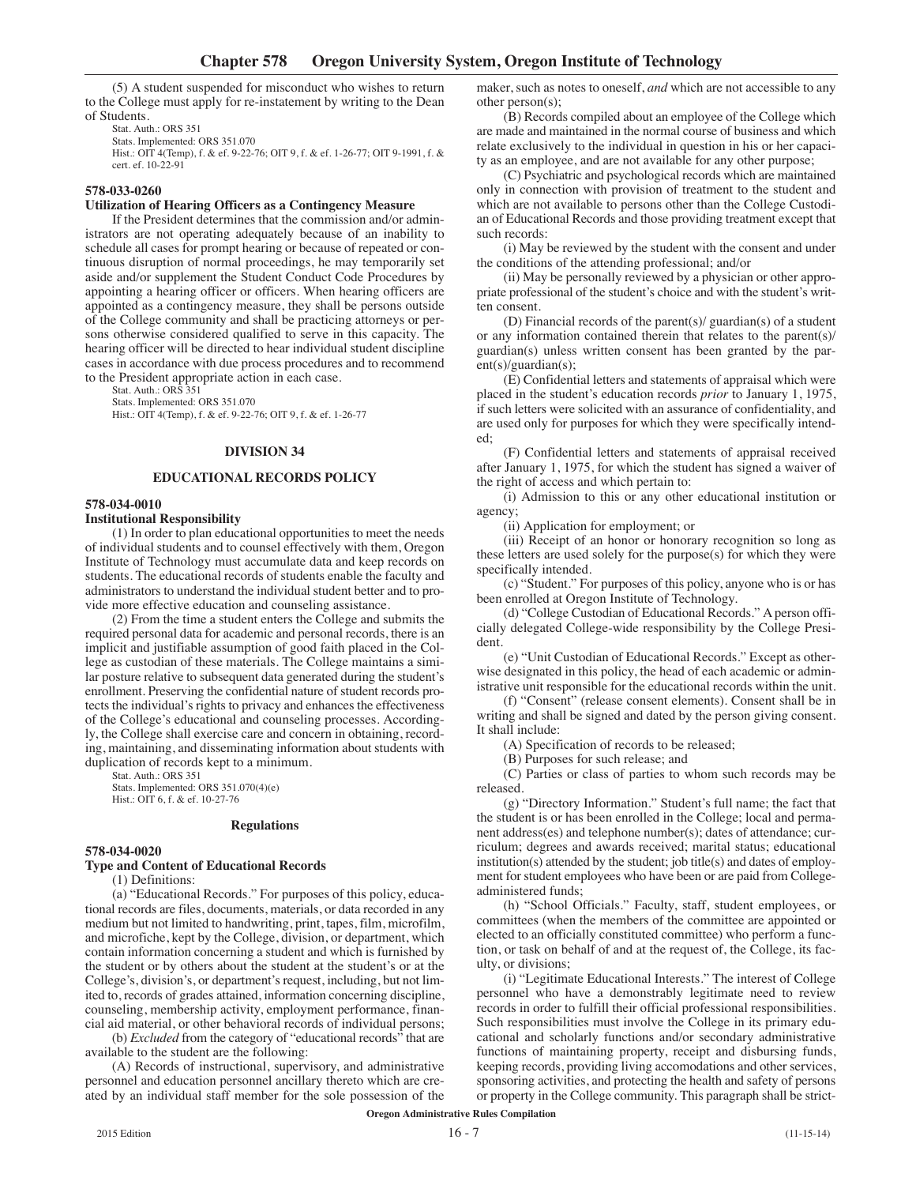(5) A student suspended for misconduct who wishes to return to the College must apply for re-instatement by writing to the Dean of Students.

Stat. Auth.: ORS 351 Stats. Implemented: ORS 351.070 Hist.: OIT 4(Temp), f. & ef. 9-22-76; OIT 9, f. & ef. 1-26-77; OIT 9-1991, f. & cert. ef. 10-22-91

## **578-033-0260**

## **Utilization of Hearing Officers as a Contingency Measure**

If the President determines that the commission and/or administrators are not operating adequately because of an inability to schedule all cases for prompt hearing or because of repeated or continuous disruption of normal proceedings, he may temporarily set aside and/or supplement the Student Conduct Code Procedures by appointing a hearing officer or officers. When hearing officers are appointed as a contingency measure, they shall be persons outside of the College community and shall be practicing attorneys or persons otherwise considered qualified to serve in this capacity. The hearing officer will be directed to hear individual student discipline cases in accordance with due process procedures and to recommend to the President appropriate action in each case.

Stat. Auth.: ORS 351

Stats. Implemented: ORS 351.070 Hist.: OIT 4(Temp), f. & ef. 9-22-76; OIT 9, f. & ef. 1-26-77

## **DIVISION 34**

# **EDUCATIONAL RECORDS POLICY**

#### **578-034-0010**

#### **Institutional Responsibility**

(1) In order to plan educational opportunities to meet the needs of individual students and to counsel effectively with them, Oregon Institute of Technology must accumulate data and keep records on students. The educational records of students enable the faculty and administrators to understand the individual student better and to provide more effective education and counseling assistance.

(2) From the time a student enters the College and submits the required personal data for academic and personal records, there is an implicit and justifiable assumption of good faith placed in the College as custodian of these materials. The College maintains a similar posture relative to subsequent data generated during the student's enrollment. Preserving the confidential nature of student records protects the individual's rights to privacy and enhances the effectiveness of the College's educational and counseling processes. Accordingly, the College shall exercise care and concern in obtaining, recording, maintaining, and disseminating information about students with duplication of records kept to a minimum.

Stat. Auth.: ORS 351 Stats. Implemented: ORS 351.070(4)(e) Hist.: OIT 6, f. & ef. 10-27-76

#### **Regulations**

#### **578-034-0020**

# **Type and Content of Educational Records**

(1) Definitions:

(a) "Educational Records." For purposes of this policy, educational records are files, documents, materials, or data recorded in any medium but not limited to handwriting, print, tapes, film, microfilm, and microfiche, kept by the College, division, or department, which contain information concerning a student and which is furnished by the student or by others about the student at the student's or at the College's, division's, or department's request, including, but not limited to, records of grades attained, information concerning discipline, counseling, membership activity, employment performance, financial aid material, or other behavioral records of individual persons;

(b) *Excluded* from the category of "educational records" that are available to the student are the following:

(A) Records of instructional, supervisory, and administrative personnel and education personnel ancillary thereto which are created by an individual staff member for the sole possession of the maker, such as notes to oneself, *and* which are not accessible to any other person(s);

(B) Records compiled about an employee of the College which are made and maintained in the normal course of business and which relate exclusively to the individual in question in his or her capacity as an employee, and are not available for any other purpose;

(C) Psychiatric and psychological records which are maintained only in connection with provision of treatment to the student and which are not available to persons other than the College Custodian of Educational Records and those providing treatment except that such records:

(i) May be reviewed by the student with the consent and under the conditions of the attending professional; and/or

(ii) May be personally reviewed by a physician or other appropriate professional of the student's choice and with the student's written consent.

(D) Financial records of the parent(s)/ guardian(s) of a student or any information contained therein that relates to the parent(s)/ guardian(s) unless written consent has been granted by the parent(s)/guardian(s);

(E) Confidential letters and statements of appraisal which were placed in the student's education records *prior* to January 1, 1975, if such letters were solicited with an assurance of confidentiality, and are used only for purposes for which they were specifically intended;

(F) Confidential letters and statements of appraisal received after January 1, 1975, for which the student has signed a waiver of the right of access and which pertain to:

(i) Admission to this or any other educational institution or agency;

(ii) Application for employment; or

(iii) Receipt of an honor or honorary recognition so long as these letters are used solely for the purpose(s) for which they were specifically intended.

(c) "Student." For purposes of this policy, anyone who is or has been enrolled at Oregon Institute of Technology.

(d) "College Custodian of Educational Records." A person officially delegated College-wide responsibility by the College President.

(e) "Unit Custodian of Educational Records." Except as otherwise designated in this policy, the head of each academic or administrative unit responsible for the educational records within the unit.

(f) "Consent" (release consent elements). Consent shall be in writing and shall be signed and dated by the person giving consent. It shall include:

(A) Specification of records to be released;

(B) Purposes for such release; and

(C) Parties or class of parties to whom such records may be released.

(g) "Directory Information." Student's full name; the fact that the student is or has been enrolled in the College; local and permanent address(es) and telephone number(s); dates of attendance; curriculum; degrees and awards received; marital status; educational institution(s) attended by the student; job title(s) and dates of employment for student employees who have been or are paid from Collegeadministered funds;

(h) "School Officials." Faculty, staff, student employees, or committees (when the members of the committee are appointed or elected to an officially constituted committee) who perform a function, or task on behalf of and at the request of, the College, its faculty, or divisions;

(i) "Legitimate Educational Interests." The interest of College personnel who have a demonstrably legitimate need to review records in order to fulfill their official professional responsibilities. Such responsibilities must involve the College in its primary educational and scholarly functions and/or secondary administrative functions of maintaining property, receipt and disbursing funds, keeping records, providing living accomodations and other services, sponsoring activities, and protecting the health and safety of persons or property in the College community. This paragraph shall be strict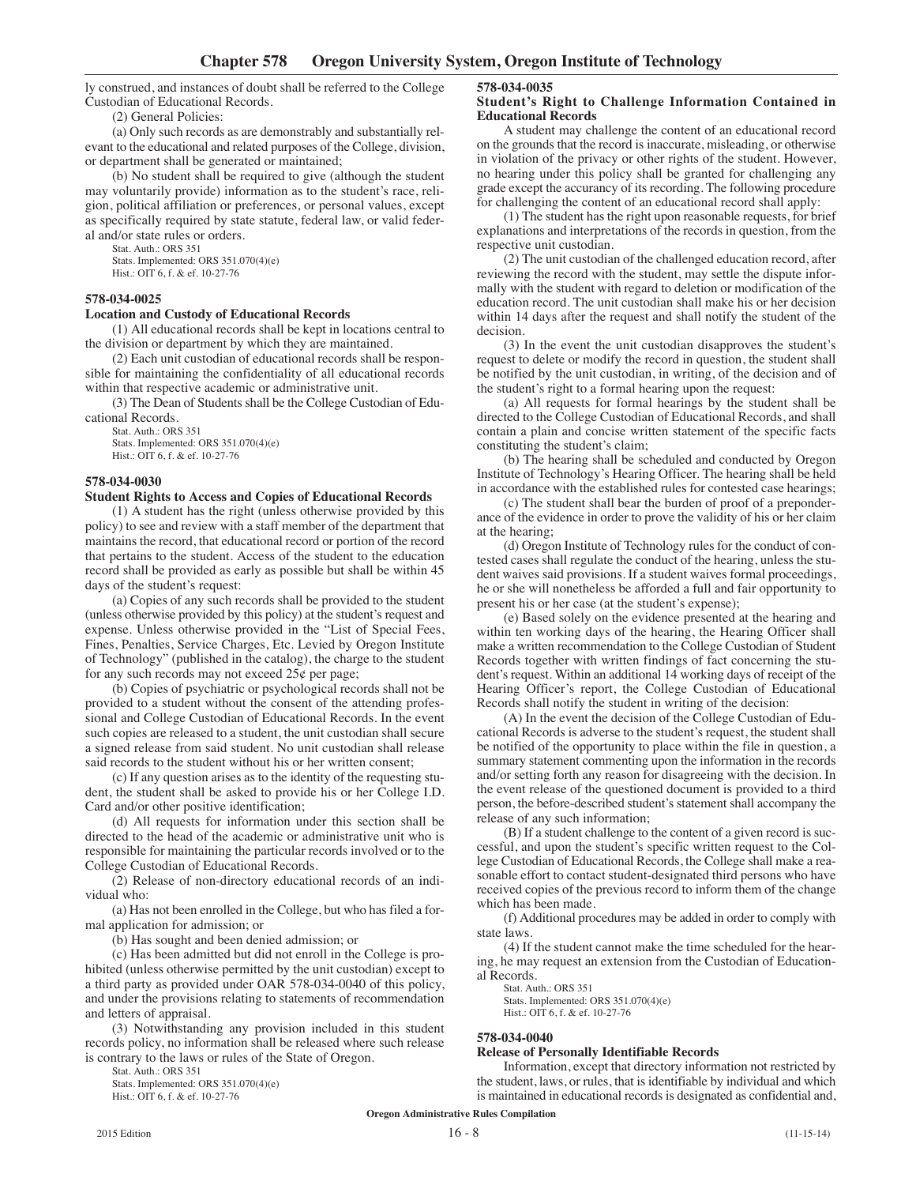ly construed, and instances of doubt shall be referred to the College Custodian of Educational Records.

(2) General Policies:

(a) Only such records as are demonstrably and substantially relevant to the educational and related purposes of the College, division, or department shall be generated or maintained;

(b) No student shall be required to give (although the student may voluntarily provide) information as to the student's race, religion, political affiliation or preferences, or personal values, except as specifically required by state statute, federal law, or valid federal and/or state rules or orders.

Stat. Auth.: ORS 351

Stats. Implemented: ORS 351.070(4)(e) Hist.: OIT 6, f. & ef. 10-27-76

## **578-034-0025**

## **Location and Custody of Educational Records**

(1) All educational records shall be kept in locations central to the division or department by which they are maintained.

(2) Each unit custodian of educational records shall be responsible for maintaining the confidentiality of all educational records within that respective academic or administrative unit.

(3) The Dean of Students shall be the College Custodian of Educational Records.

Stat. Auth.: ORS 351 Stats. Implemented: ORS 351.070(4)(e) Hist.: OIT 6, f. & ef. 10-27-76

## **578-034-0030**

#### **Student Rights to Access and Copies of Educational Records**

(1) A student has the right (unless otherwise provided by this policy) to see and review with a staff member of the department that maintains the record, that educational record or portion of the record that pertains to the student. Access of the student to the education record shall be provided as early as possible but shall be within 45 days of the student's request:

(a) Copies of any such records shall be provided to the student (unless otherwise provided by this policy) at the student's request and expense. Unless otherwise provided in the "List of Special Fees, Fines, Penalties, Service Charges, Etc. Levied by Oregon Institute of Technology" (published in the catalog), the charge to the student for any such records may not exceed  $25¢$  per page;

(b) Copies of psychiatric or psychological records shall not be provided to a student without the consent of the attending professional and College Custodian of Educational Records. In the event such copies are released to a student, the unit custodian shall secure a signed release from said student. No unit custodian shall release said records to the student without his or her written consent;

(c) If any question arises as to the identity of the requesting student, the student shall be asked to provide his or her College I.D. Card and/or other positive identification;

(d) All requests for information under this section shall be directed to the head of the academic or administrative unit who is responsible for maintaining the particular records involved or to the College Custodian of Educational Records.

(2) Release of non-directory educational records of an individual who:

(a) Has not been enrolled in the College, but who has filed a formal application for admission; or

(b) Has sought and been denied admission; or

(c) Has been admitted but did not enroll in the College is prohibited (unless otherwise permitted by the unit custodian) except to a third party as provided under OAR 578-034-0040 of this policy, and under the provisions relating to statements of recommendation and letters of appraisal.

(3) Notwithstanding any provision included in this student records policy, no information shall be released where such release is contrary to the laws or rules of the State of Oregon.

Stat. Auth.: ORS 351

Stats. Implemented: ORS 351.070(4)(e) Hist.: OIT 6, f. & ef. 10-27-76

# **578-034-0035**

#### **Student's Right to Challenge Information Contained in Educational Records**

A student may challenge the content of an educational record on the grounds that the record is inaccurate, misleading, or otherwise in violation of the privacy or other rights of the student. However, no hearing under this policy shall be granted for challenging any grade except the accurancy of its recording. The following procedure for challenging the content of an educational record shall apply:

(1) The student has the right upon reasonable requests, for brief explanations and interpretations of the records in question, from the respective unit custodian.

(2) The unit custodian of the challenged education record, after reviewing the record with the student, may settle the dispute informally with the student with regard to deletion or modification of the education record. The unit custodian shall make his or her decision within 14 days after the request and shall notify the student of the decision.

(3) In the event the unit custodian disapproves the student's request to delete or modify the record in question, the student shall be notified by the unit custodian, in writing, of the decision and of the student's right to a formal hearing upon the request:

(a) All requests for formal hearings by the student shall be directed to the College Custodian of Educational Records, and shall contain a plain and concise written statement of the specific facts constituting the student's claim;

(b) The hearing shall be scheduled and conducted by Oregon Institute of Technology's Hearing Officer. The hearing shall be held in accordance with the established rules for contested case hearings;

(c) The student shall bear the burden of proof of a preponderance of the evidence in order to prove the validity of his or her claim at the hearing;

(d) Oregon Institute of Technology rules for the conduct of contested cases shall regulate the conduct of the hearing, unless the student waives said provisions. If a student waives formal proceedings, he or she will nonetheless be afforded a full and fair opportunity to present his or her case (at the student's expense);

(e) Based solely on the evidence presented at the hearing and within ten working days of the hearing, the Hearing Officer shall make a written recommendation to the College Custodian of Student Records together with written findings of fact concerning the student's request. Within an additional 14 working days of receipt of the Hearing Officer's report, the College Custodian of Educational Records shall notify the student in writing of the decision:

(A) In the event the decision of the College Custodian of Educational Records is adverse to the student's request, the student shall be notified of the opportunity to place within the file in question, a summary statement commenting upon the information in the records and/or setting forth any reason for disagreeing with the decision. In the event release of the questioned document is provided to a third person, the before-described student's statement shall accompany the release of any such information;

(B) If a student challenge to the content of a given record is successful, and upon the student's specific written request to the College Custodian of Educational Records, the College shall make a reasonable effort to contact student-designated third persons who have received copies of the previous record to inform them of the change which has been made.

(f) Additional procedures may be added in order to comply with state laws.

(4) If the student cannot make the time scheduled for the hearing, he may request an extension from the Custodian of Educational Records.

Stat. Auth.: ORS 351 Stats. Implemented: ORS 351.070(4)(e) Hist.: OIT 6, f. & ef. 10-27-76

#### **578-034-0040**

## **Release of Personally Identifiable Records**

Information, except that directory information not restricted by the student, laws, or rules, that is identifiable by individual and which is maintained in educational records is designated as confidential and,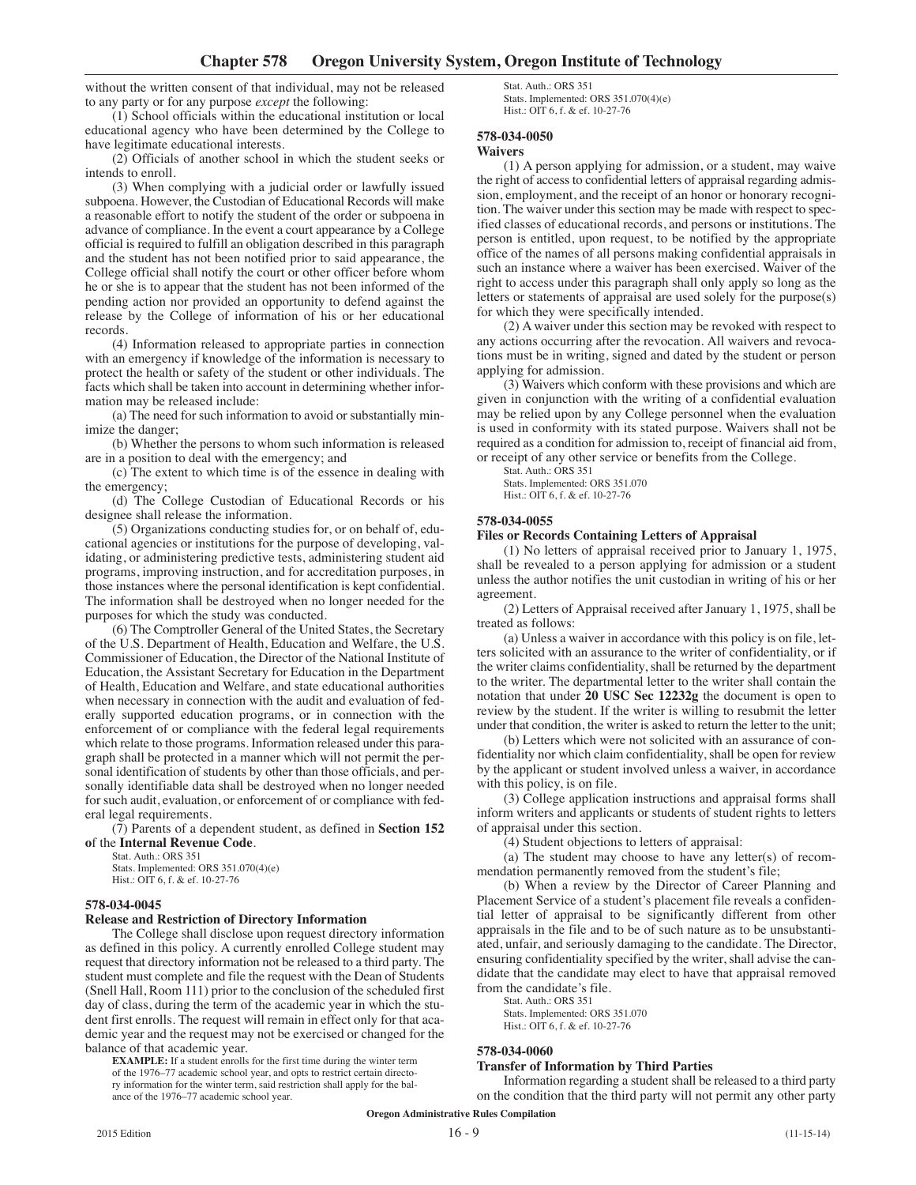without the written consent of that individual, may not be released to any party or for any purpose *except* the following:

(1) School officials within the educational institution or local educational agency who have been determined by the College to have legitimate educational interests.

(2) Officials of another school in which the student seeks or intends to enroll.

(3) When complying with a judicial order or lawfully issued subpoena. However, the Custodian of Educational Records will make a reasonable effort to notify the student of the order or subpoena in advance of compliance. In the event a court appearance by a College official is required to fulfill an obligation described in this paragraph and the student has not been notified prior to said appearance, the College official shall notify the court or other officer before whom he or she is to appear that the student has not been informed of the pending action nor provided an opportunity to defend against the release by the College of information of his or her educational records.

(4) Information released to appropriate parties in connection with an emergency if knowledge of the information is necessary to protect the health or safety of the student or other individuals. The facts which shall be taken into account in determining whether information may be released include:

(a) The need for such information to avoid or substantially minimize the danger;

(b) Whether the persons to whom such information is released are in a position to deal with the emergency; and

(c) The extent to which time is of the essence in dealing with the emergency;

(d) The College Custodian of Educational Records or his designee shall release the information.

(5) Organizations conducting studies for, or on behalf of, educational agencies or institutions for the purpose of developing, validating, or administering predictive tests, administering student aid programs, improving instruction, and for accreditation purposes, in those instances where the personal identification is kept confidential. The information shall be destroyed when no longer needed for the purposes for which the study was conducted.

(6) The Comptroller General of the United States, the Secretary of the U.S. Department of Health, Education and Welfare, the U.S. Commissioner of Education, the Director of the National Institute of Education, the Assistant Secretary for Education in the Department of Health, Education and Welfare, and state educational authorities when necessary in connection with the audit and evaluation of federally supported education programs, or in connection with the enforcement of or compliance with the federal legal requirements which relate to those programs. Information released under this paragraph shall be protected in a manner which will not permit the personal identification of students by other than those officials, and personally identifiable data shall be destroyed when no longer needed for such audit, evaluation, or enforcement of or compliance with federal legal requirements.

(7) Parents of a dependent student, as defined in **Section 152 o**f the **Internal Revenue Code**.

Stat. Auth.: ORS 351

Stats. Implemented: ORS 351.070(4)(e) Hist.: OIT 6, f. & ef. 10-27-76

## **578-034-0045**

#### **Release and Restriction of Directory Information**

The College shall disclose upon request directory information as defined in this policy. A currently enrolled College student may request that directory information not be released to a third party. The student must complete and file the request with the Dean of Students (Snell Hall, Room 111) prior to the conclusion of the scheduled first day of class, during the term of the academic year in which the student first enrolls. The request will remain in effect only for that academic year and the request may not be exercised or changed for the balance of that academic year.

**EXAMPLE:** If a student enrolls for the first time during the winter term of the 1976–77 academic school year, and opts to restrict certain directory information for the winter term, said restriction shall apply for the balance of the 1976–77 academic school year.

Stat. Auth.: ORS 351 Stats. Implemented: ORS 351.070(4)(e) Hist.: OIT 6, f. & ef. 10-27-76

## **578-034-0050**

#### **Waivers**

(1) A person applying for admission, or a student, may waive the right of access to confidential letters of appraisal regarding admission, employment, and the receipt of an honor or honorary recognition. The waiver under this section may be made with respect to specified classes of educational records, and persons or institutions. The person is entitled, upon request, to be notified by the appropriate office of the names of all persons making confidential appraisals in such an instance where a waiver has been exercised. Waiver of the right to access under this paragraph shall only apply so long as the letters or statements of appraisal are used solely for the purpose(s) for which they were specifically intended.

(2) A waiver under this section may be revoked with respect to any actions occurring after the revocation. All waivers and revocations must be in writing, signed and dated by the student or person applying for admission.

(3) Waivers which conform with these provisions and which are given in conjunction with the writing of a confidential evaluation may be relied upon by any College personnel when the evaluation is used in conformity with its stated purpose. Waivers shall not be required as a condition for admission to, receipt of financial aid from, or receipt of any other service or benefits from the College.

Stat. Auth.: ORS 351 Stats. Implemented: ORS 351.070 Hist.: OIT 6, f. & ef. 10-27-76

## **578-034-0055**

#### **Files or Records Containing Letters of Appraisal**

(1) No letters of appraisal received prior to January 1, 1975, shall be revealed to a person applying for admission or a student unless the author notifies the unit custodian in writing of his or her agreement.

(2) Letters of Appraisal received after January 1, 1975, shall be treated as follows:

(a) Unless a waiver in accordance with this policy is on file, letters solicited with an assurance to the writer of confidentiality, or if the writer claims confidentiality, shall be returned by the department to the writer. The departmental letter to the writer shall contain the notation that under **20 USC Sec 12232g** the document is open to review by the student. If the writer is willing to resubmit the letter under that condition, the writer is asked to return the letter to the unit;

(b) Letters which were not solicited with an assurance of confidentiality nor which claim confidentiality, shall be open for review by the applicant or student involved unless a waiver, in accordance with this policy, is on file.

(3) College application instructions and appraisal forms shall inform writers and applicants or students of student rights to letters of appraisal under this section.

(4) Student objections to letters of appraisal:

(a) The student may choose to have any letter(s) of recommendation permanently removed from the student's file;

(b) When a review by the Director of Career Planning and Placement Service of a student's placement file reveals a confidential letter of appraisal to be significantly different from other appraisals in the file and to be of such nature as to be unsubstantiated, unfair, and seriously damaging to the candidate. The Director, ensuring confidentiality specified by the writer, shall advise the candidate that the candidate may elect to have that appraisal removed from the candidate's file.

Stat. Auth.: ORS 351 Stats. Implemented: ORS 351.070 Hist.: OIT 6, f. & ef. 10-27-76

#### **578-034-0060**

#### **Transfer of Information by Third Parties**

Information regarding a student shall be released to a third party on the condition that the third party will not permit any other party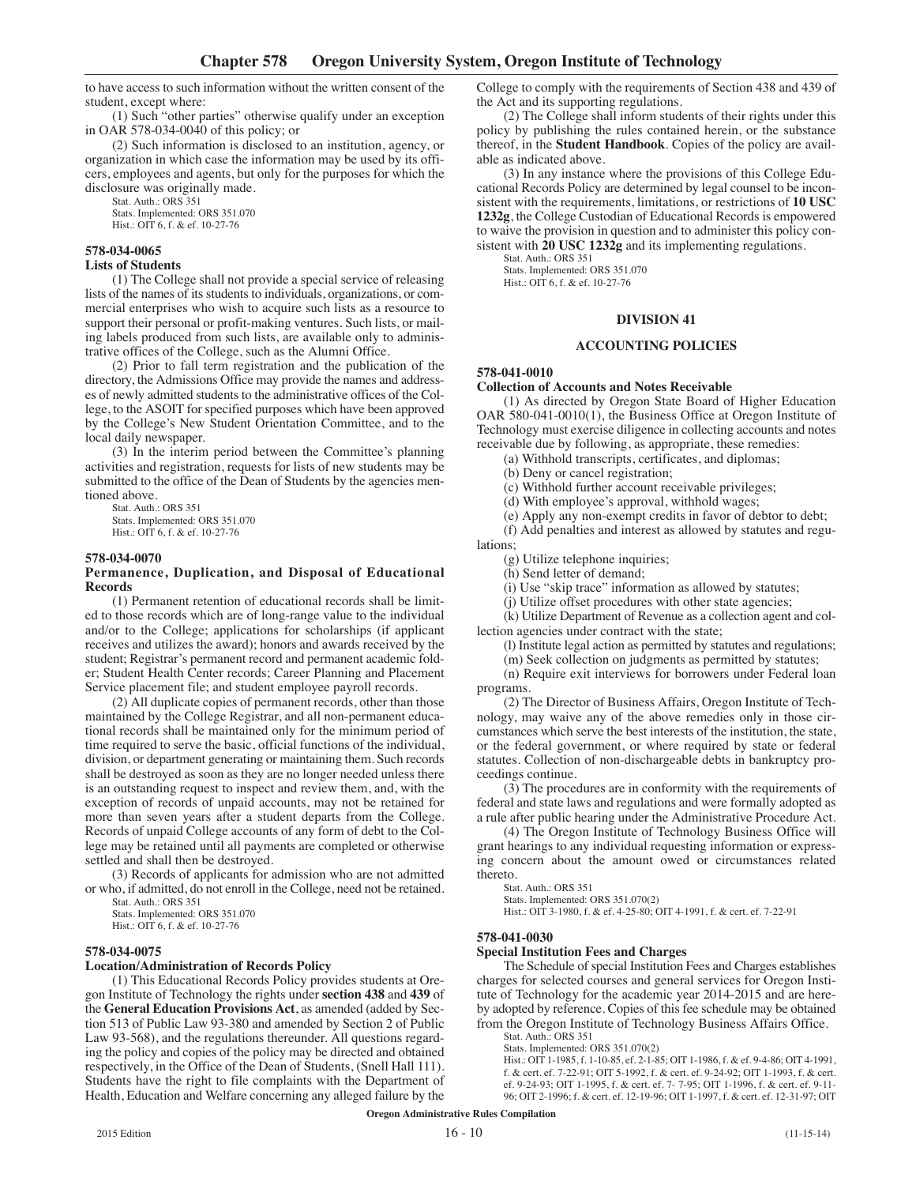to have access to such information without the written consent of the student, except where:

(1) Such "other parties" otherwise qualify under an exception in OAR 578-034-0040 of this policy; or

(2) Such information is disclosed to an institution, agency, or organization in which case the information may be used by its officers, employees and agents, but only for the purposes for which the disclosure was originally made.

Stat. Auth.: ORS 351

Stats. Implemented: ORS 351.070

Hist.: OIT 6, f. & ef. 10-27-76

## **578-034-0065**

#### **Lists of Students**

(1) The College shall not provide a special service of releasing lists of the names of its students to individuals, organizations, or commercial enterprises who wish to acquire such lists as a resource to support their personal or profit-making ventures. Such lists, or mailing labels produced from such lists, are available only to administrative offices of the College, such as the Alumni Office.

(2) Prior to fall term registration and the publication of the directory, the Admissions Office may provide the names and addresses of newly admitted students to the administrative offices of the College, to the ASOIT for specified purposes which have been approved by the College's New Student Orientation Committee, and to the local daily newspaper.

(3) In the interim period between the Committee's planning activities and registration, requests for lists of new students may be submitted to the office of the Dean of Students by the agencies mentioned above.

Stat. Auth.: ORS 351 Stats. Implemented: ORS 351.070 Hist.: OIT 6, f. & ef. 10-27-76

## **578-034-0070**

### **Permanence, Duplication, and Disposal of Educational Records**

(1) Permanent retention of educational records shall be limited to those records which are of long-range value to the individual and/or to the College; applications for scholarships (if applicant receives and utilizes the award); honors and awards received by the student; Registrar's permanent record and permanent academic folder; Student Health Center records; Career Planning and Placement Service placement file; and student employee payroll records.

(2) All duplicate copies of permanent records, other than those maintained by the College Registrar, and all non-permanent educational records shall be maintained only for the minimum period of time required to serve the basic, official functions of the individual, division, or department generating or maintaining them. Such records shall be destroyed as soon as they are no longer needed unless there is an outstanding request to inspect and review them, and, with the exception of records of unpaid accounts, may not be retained for more than seven years after a student departs from the College. Records of unpaid College accounts of any form of debt to the College may be retained until all payments are completed or otherwise settled and shall then be destroyed.

(3) Records of applicants for admission who are not admitted or who, if admitted, do not enroll in the College, need not be retained. Stat. Auth.: ORS 351

Stats. Implemented: ORS 351.070 Hist.: OIT 6, f. & ef. 10-27-76

#### **578-034-0075**

#### **Location/Administration of Records Policy**

(1) This Educational Records Policy provides students at Oregon Institute of Technology the rights under **section 438** and **439** of the **General Education Provisions Act**, as amended (added by Section 513 of Public Law 93-380 and amended by Section 2 of Public Law 93-568), and the regulations thereunder. All questions regarding the policy and copies of the policy may be directed and obtained respectively, in the Office of the Dean of Students, (Snell Hall 111). Students have the right to file complaints with the Department of Health, Education and Welfare concerning any alleged failure by the

College to comply with the requirements of Section 438 and 439 of the Act and its supporting regulations.

(2) The College shall inform students of their rights under this policy by publishing the rules contained herein, or the substance thereof, in the **Student Handbook**. Copies of the policy are available as indicated above.

(3) In any instance where the provisions of this College Educational Records Policy are determined by legal counsel to be inconsistent with the requirements, limitations, or restrictions of **10 USC 1232g**, the College Custodian of Educational Records is empowered to waive the provision in question and to administer this policy consistent with **20 USC 1232g** and its implementing regulations.

Stat. Auth.: ORS 351 Stats. Implemented: ORS 351.070

Hist.: OIT 6, f. & ef. 10-27-76

# **DIVISION 41**

#### **ACCOUNTING POLICIES**

## **578-041-0010**

## **Collection of Accounts and Notes Receivable**

(1) As directed by Oregon State Board of Higher Education OAR 580-041-0010(1), the Business Office at Oregon Institute of Technology must exercise diligence in collecting accounts and notes receivable due by following, as appropriate, these remedies:

(a) Withhold transcripts, certificates, and diplomas;

(b) Deny or cancel registration;

(c) Withhold further account receivable privileges;

(d) With employee's approval, withhold wages;

(e) Apply any non-exempt credits in favor of debtor to debt;

(f) Add penalties and interest as allowed by statutes and regulations;

(g) Utilize telephone inquiries;

(h) Send letter of demand;

(i) Use "skip trace" information as allowed by statutes;

(j) Utilize offset procedures with other state agencies;

(k) Utilize Department of Revenue as a collection agent and collection agencies under contract with the state;

(l) Institute legal action as permitted by statutes and regulations;

(m) Seek collection on judgments as permitted by statutes;

(n) Require exit interviews for borrowers under Federal loan programs.

(2) The Director of Business Affairs, Oregon Institute of Technology, may waive any of the above remedies only in those circumstances which serve the best interests of the institution, the state, or the federal government, or where required by state or federal statutes. Collection of non-dischargeable debts in bankruptcy proceedings continue.

(3) The procedures are in conformity with the requirements of federal and state laws and regulations and were formally adopted as a rule after public hearing under the Administrative Procedure Act.

(4) The Oregon Institute of Technology Business Office will grant hearings to any individual requesting information or expressing concern about the amount owed or circumstances related thereto.

Stat. Auth.: ORS 351

Stats. Implemented: ORS 351.070(2)

Hist.: OIT 3-1980, f. & ef. 4-25-80; OIT 4-1991, f. & cert. ef. 7-22-91

#### **578-041-0030**

## **Special Institution Fees and Charges**

The Schedule of special Institution Fees and Charges establishes charges for selected courses and general services for Oregon Institute of Technology for the academic year 2014-2015 and are hereby adopted by reference. Copies of this fee schedule may be obtained from the Oregon Institute of Technology Business Affairs Office.

Stat. Auth.: ORS 351

Stats. Implemented: ORS 351.070(2)

Hist.: OIT 1-1985, f. 1-10-85, ef. 2-1-85; OIT 1-1986, f. & ef. 9-4-86; OIT 4-1991, f. & cert. ef. 7-22-91; OIT 5-1992, f. & cert. ef. 9-24-92; OIT 1-1993, f. & cert. ef. 9-24-93; OIT 1-1995, f. & cert. ef. 7- 7-95; OIT 1-1996, f. & cert. ef. 9-11- 96; OIT 2-1996; f. & cert. ef. 12-19-96; OIT 1-1997, f. & cert. ef. 12-31-97; OIT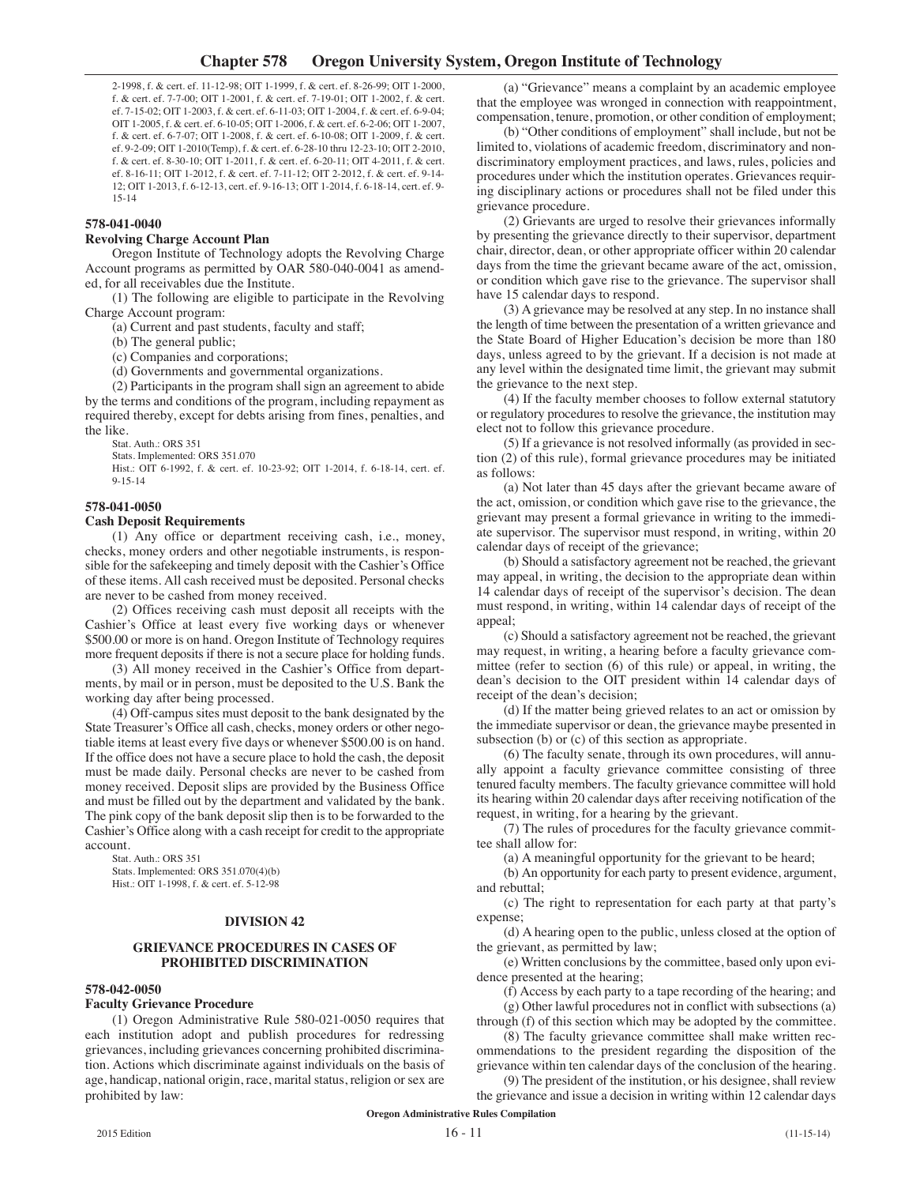2-1998, f. & cert. ef. 11-12-98; OIT 1-1999, f. & cert. ef. 8-26-99; OIT 1-2000, f. & cert. ef. 7-7-00; OIT 1-2001, f. & cert. ef. 7-19-01; OIT 1-2002, f. & cert. ef. 7-15-02; OIT 1-2003, f. & cert. ef. 6-11-03; OIT 1-2004, f. & cert. ef. 6-9-04; OIT 1-2005, f. & cert. ef. 6-10-05; OIT 1-2006, f. & cert. ef. 6-2-06; OIT 1-2007, f. & cert. ef. 6-7-07; OIT 1-2008, f. & cert. ef. 6-10-08; OIT 1-2009, f. & cert. ef. 9-2-09; OIT 1-2010(Temp), f. & cert. ef. 6-28-10 thru 12-23-10; OIT 2-2010, f. & cert. ef. 8-30-10; OIT 1-2011, f. & cert. ef. 6-20-11; OIT 4-2011, f. & cert. ef. 8-16-11; OIT 1-2012, f. & cert. ef. 7-11-12; OIT 2-2012, f. & cert. ef. 9-14- 12; OIT 1-2013, f. 6-12-13, cert. ef. 9-16-13; OIT 1-2014, f. 6-18-14, cert. ef. 9- 15-14

## **578-041-0040**

## **Revolving Charge Account Plan**

Oregon Institute of Technology adopts the Revolving Charge Account programs as permitted by OAR 580-040-0041 as amended, for all receivables due the Institute.

(1) The following are eligible to participate in the Revolving Charge Account program:

(a) Current and past students, faculty and staff;

(b) The general public;

(c) Companies and corporations;

(d) Governments and governmental organizations.

(2) Participants in the program shall sign an agreement to abide

by the terms and conditions of the program, including repayment as required thereby, except for debts arising from fines, penalties, and the like.

Stat. Auth.: ORS 351

Stats. Implemented: ORS 351.070

Hist.: OIT 6-1992, f. & cert. ef. 10-23-92; OIT 1-2014, f. 6-18-14, cert. ef. 9-15-14

## **578-041-0050**

## **Cash Deposit Requirements**

(1) Any office or department receiving cash, i.e., money, checks, money orders and other negotiable instruments, is responsible for the safekeeping and timely deposit with the Cashier's Office of these items. All cash received must be deposited. Personal checks are never to be cashed from money received.

(2) Offices receiving cash must deposit all receipts with the Cashier's Office at least every five working days or whenever \$500.00 or more is on hand. Oregon Institute of Technology requires more frequent deposits if there is not a secure place for holding funds.

(3) All money received in the Cashier's Office from departments, by mail or in person, must be deposited to the U.S. Bank the working day after being processed.

(4) Off-campus sites must deposit to the bank designated by the State Treasurer's Office all cash, checks, money orders or other negotiable items at least every five days or whenever \$500.00 is on hand. If the office does not have a secure place to hold the cash, the deposit must be made daily. Personal checks are never to be cashed from money received. Deposit slips are provided by the Business Office and must be filled out by the department and validated by the bank. The pink copy of the bank deposit slip then is to be forwarded to the Cashier's Office along with a cash receipt for credit to the appropriate account.

Stat. Auth.: ORS 351 Stats. Implemented: ORS 351.070(4)(b) Hist.: OIT 1-1998, f. & cert. ef. 5-12-98

## **DIVISION 42**

## **GRIEVANCE PROCEDURES IN CASES OF PROHIBITED DISCRIMINATION**

#### **578-042-0050**

## **Faculty Grievance Procedure**

(1) Oregon Administrative Rule 580-021-0050 requires that each institution adopt and publish procedures for redressing grievances, including grievances concerning prohibited discrimination. Actions which discriminate against individuals on the basis of age, handicap, national origin, race, marital status, religion or sex are prohibited by law:

(a) "Grievance" means a complaint by an academic employee that the employee was wronged in connection with reappointment, compensation, tenure, promotion, or other condition of employment;

(b) "Other conditions of employment" shall include, but not be limited to, violations of academic freedom, discriminatory and nondiscriminatory employment practices, and laws, rules, policies and procedures under which the institution operates. Grievances requiring disciplinary actions or procedures shall not be filed under this grievance procedure.

(2) Grievants are urged to resolve their grievances informally by presenting the grievance directly to their supervisor, department chair, director, dean, or other appropriate officer within 20 calendar days from the time the grievant became aware of the act, omission, or condition which gave rise to the grievance. The supervisor shall have 15 calendar days to respond.

(3) A grievance may be resolved at any step. In no instance shall the length of time between the presentation of a written grievance and the State Board of Higher Education's decision be more than 180 days, unless agreed to by the grievant. If a decision is not made at any level within the designated time limit, the grievant may submit the grievance to the next step.

(4) If the faculty member chooses to follow external statutory or regulatory procedures to resolve the grievance, the institution may elect not to follow this grievance procedure.

(5) If a grievance is not resolved informally (as provided in section (2) of this rule), formal grievance procedures may be initiated as follows:

(a) Not later than 45 days after the grievant became aware of the act, omission, or condition which gave rise to the grievance, the grievant may present a formal grievance in writing to the immediate supervisor. The supervisor must respond, in writing, within 20 calendar days of receipt of the grievance;

(b) Should a satisfactory agreement not be reached, the grievant may appeal, in writing, the decision to the appropriate dean within 14 calendar days of receipt of the supervisor's decision. The dean must respond, in writing, within 14 calendar days of receipt of the appeal;

(c) Should a satisfactory agreement not be reached, the grievant may request, in writing, a hearing before a faculty grievance committee (refer to section (6) of this rule) or appeal, in writing, the dean's decision to the OIT president within 14 calendar days of receipt of the dean's decision;

(d) If the matter being grieved relates to an act or omission by the immediate supervisor or dean, the grievance maybe presented in subsection (b) or (c) of this section as appropriate.

(6) The faculty senate, through its own procedures, will annually appoint a faculty grievance committee consisting of three tenured faculty members. The faculty grievance committee will hold its hearing within 20 calendar days after receiving notification of the request, in writing, for a hearing by the grievant.

(7) The rules of procedures for the faculty grievance committee shall allow for:

(a) A meaningful opportunity for the grievant to be heard;

(b) An opportunity for each party to present evidence, argument, and rebuttal;

(c) The right to representation for each party at that party's expense;

(d) A hearing open to the public, unless closed at the option of the grievant, as permitted by law;

(e) Written conclusions by the committee, based only upon evidence presented at the hearing;

(f) Access by each party to a tape recording of the hearing; and

(g) Other lawful procedures not in conflict with subsections (a) through (f) of this section which may be adopted by the committee.

(8) The faculty grievance committee shall make written recommendations to the president regarding the disposition of the grievance within ten calendar days of the conclusion of the hearing.

(9) The president of the institution, or his designee, shall review the grievance and issue a decision in writing within 12 calendar days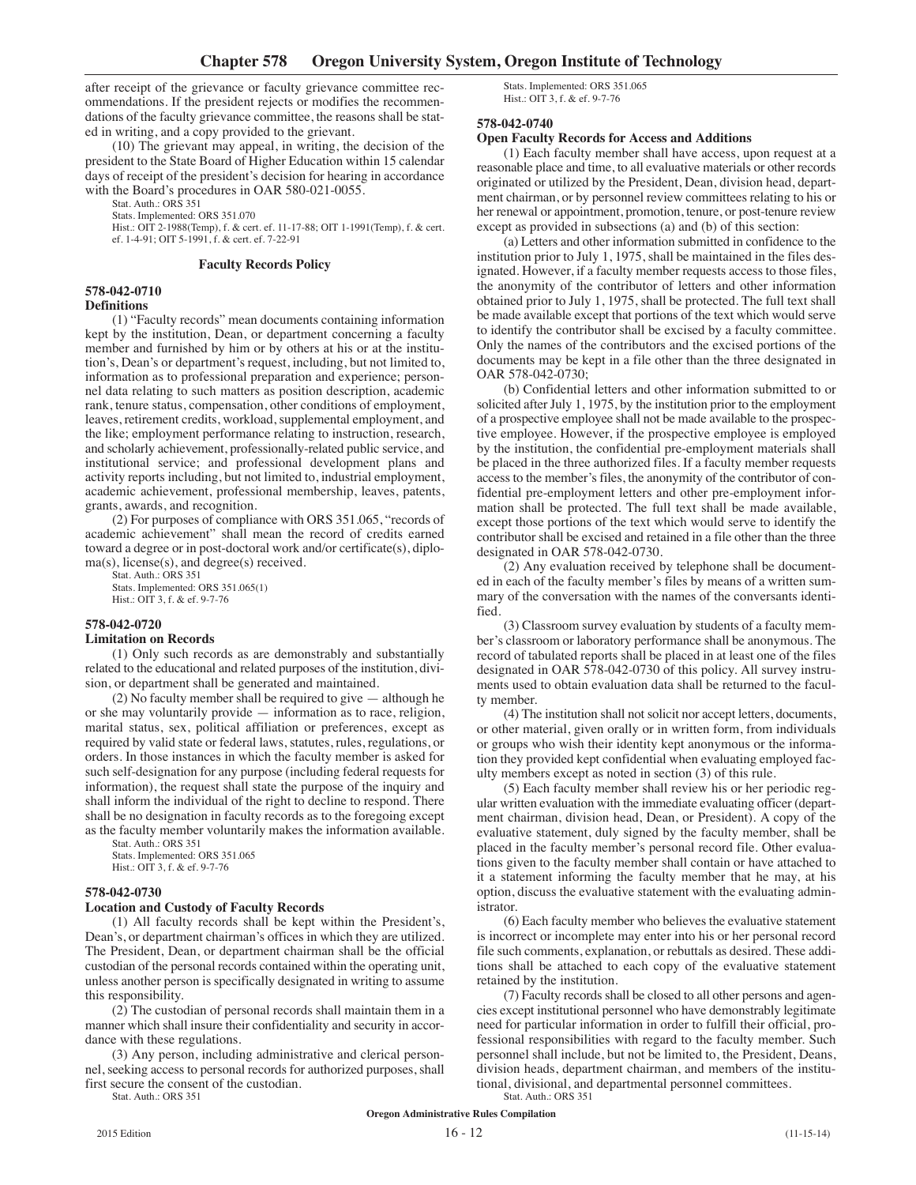after receipt of the grievance or faculty grievance committee recommendations. If the president rejects or modifies the recommendations of the faculty grievance committee, the reasons shall be stated in writing, and a copy provided to the grievant.

(10) The grievant may appeal, in writing, the decision of the president to the State Board of Higher Education within 15 calendar days of receipt of the president's decision for hearing in accordance with the Board's procedures in OAR 580-021-0055.

Stat. Auth.: ORS 351

Stats. Implemented: ORS 351.070

Hist.: OIT 2-1988(Temp), f. & cert. ef. 11-17-88; OIT 1-1991(Temp), f. & cert. ef. 1-4-91; OIT 5-1991, f. & cert. ef. 7-22-91

#### **Faculty Records Policy**

#### **578-042-0710 Definitions**

(1) "Faculty records" mean documents containing information kept by the institution, Dean, or department concerning a faculty member and furnished by him or by others at his or at the institution's, Dean's or department's request, including, but not limited to, information as to professional preparation and experience; personnel data relating to such matters as position description, academic rank, tenure status, compensation, other conditions of employment, leaves, retirement credits, workload, supplemental employment, and the like; employment performance relating to instruction, research, and scholarly achievement, professionally-related public service, and institutional service; and professional development plans and activity reports including, but not limited to, industrial employment, academic achievement, professional membership, leaves, patents, grants, awards, and recognition.

(2) For purposes of compliance with ORS 351.065, "records of academic achievement" shall mean the record of credits earned toward a degree or in post-doctoral work and/or certificate(s), diploma(s), license(s), and degree(s) received.

Stat. Auth.: ORS 351 Stats. Implemented: ORS 351.065(1) Hist.: OIT 3, f. & ef. 9-7-76

#### **578-042-0720**

#### **Limitation on Records**

(1) Only such records as are demonstrably and substantially related to the educational and related purposes of the institution, division, or department shall be generated and maintained.

(2) No faculty member shall be required to give — although he or she may voluntarily provide — information as to race, religion, marital status, sex, political affiliation or preferences, except as required by valid state or federal laws, statutes, rules, regulations, or orders. In those instances in which the faculty member is asked for such self-designation for any purpose (including federal requests for information), the request shall state the purpose of the inquiry and shall inform the individual of the right to decline to respond. There shall be no designation in faculty records as to the foregoing except as the faculty member voluntarily makes the information available.

Stat. Auth.: ORS 351 Stats. Implemented: ORS 351.065

Hist.: OIT 3, f. & ef. 9-7-76

#### **578-042-0730**

#### **Location and Custody of Faculty Records**

(1) All faculty records shall be kept within the President's, Dean's, or department chairman's offices in which they are utilized. The President, Dean, or department chairman shall be the official custodian of the personal records contained within the operating unit, unless another person is specifically designated in writing to assume this responsibility.

(2) The custodian of personal records shall maintain them in a manner which shall insure their confidentiality and security in accordance with these regulations.

(3) Any person, including administrative and clerical personnel, seeking access to personal records for authorized purposes, shall first secure the consent of the custodian.

Stat. Auth.: ORS 351

Stats. Implemented: ORS 351.065 Hist.: OIT 3, f. & ef. 9-7-76

#### **578-042-0740**

### **Open Faculty Records for Access and Additions**

(1) Each faculty member shall have access, upon request at a reasonable place and time, to all evaluative materials or other records originated or utilized by the President, Dean, division head, department chairman, or by personnel review committees relating to his or her renewal or appointment, promotion, tenure, or post-tenure review except as provided in subsections (a) and (b) of this section:

(a) Letters and other information submitted in confidence to the institution prior to July 1, 1975, shall be maintained in the files designated. However, if a faculty member requests access to those files, the anonymity of the contributor of letters and other information obtained prior to July 1, 1975, shall be protected. The full text shall be made available except that portions of the text which would serve to identify the contributor shall be excised by a faculty committee. Only the names of the contributors and the excised portions of the documents may be kept in a file other than the three designated in OAR 578-042-0730;

(b) Confidential letters and other information submitted to or solicited after July 1, 1975, by the institution prior to the employment of a prospective employee shall not be made available to the prospective employee. However, if the prospective employee is employed by the institution, the confidential pre-employment materials shall be placed in the three authorized files. If a faculty member requests access to the member's files, the anonymity of the contributor of confidential pre-employment letters and other pre-employment information shall be protected. The full text shall be made available, except those portions of the text which would serve to identify the contributor shall be excised and retained in a file other than the three designated in OAR 578-042-0730.

(2) Any evaluation received by telephone shall be documented in each of the faculty member's files by means of a written summary of the conversation with the names of the conversants identified.

(3) Classroom survey evaluation by students of a faculty member's classroom or laboratory performance shall be anonymous. The record of tabulated reports shall be placed in at least one of the files designated in OAR 578-042-0730 of this policy. All survey instruments used to obtain evaluation data shall be returned to the faculty member.

(4) The institution shall not solicit nor accept letters, documents, or other material, given orally or in written form, from individuals or groups who wish their identity kept anonymous or the information they provided kept confidential when evaluating employed faculty members except as noted in section (3) of this rule.

(5) Each faculty member shall review his or her periodic regular written evaluation with the immediate evaluating officer (department chairman, division head, Dean, or President). A copy of the evaluative statement, duly signed by the faculty member, shall be placed in the faculty member's personal record file. Other evaluations given to the faculty member shall contain or have attached to it a statement informing the faculty member that he may, at his option, discuss the evaluative statement with the evaluating administrator.

(6) Each faculty member who believes the evaluative statement is incorrect or incomplete may enter into his or her personal record file such comments, explanation, or rebuttals as desired. These additions shall be attached to each copy of the evaluative statement retained by the institution.

(7) Faculty records shall be closed to all other persons and agencies except institutional personnel who have demonstrably legitimate need for particular information in order to fulfill their official, professional responsibilities with regard to the faculty member. Such personnel shall include, but not be limited to, the President, Deans, division heads, department chairman, and members of the institutional, divisional, and departmental personnel committees.

Stat. Auth.: ORS 351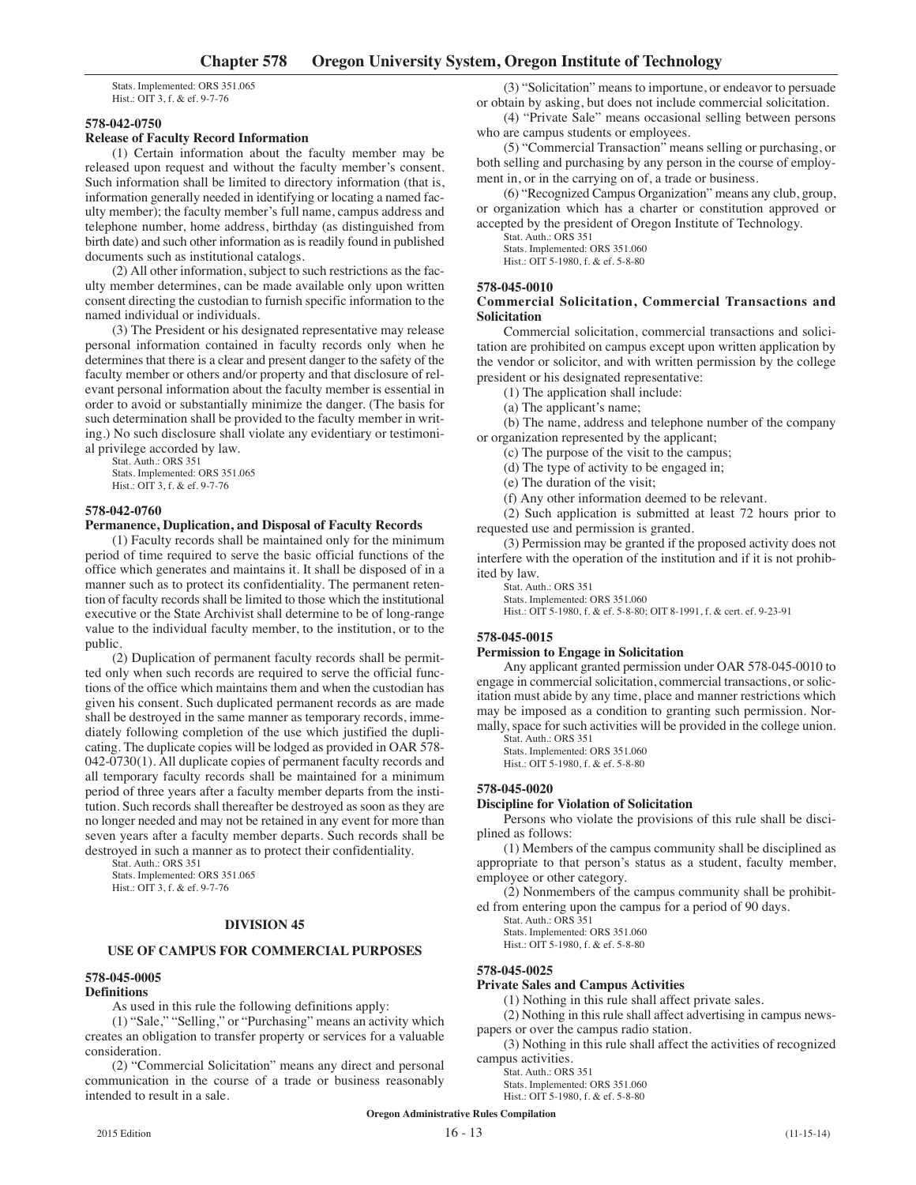Stats. Implemented: ORS 351.065 Hist.: OIT 3, f. & ef. 9-7-76

## **578-042-0750**

# **Release of Faculty Record Information**

(1) Certain information about the faculty member may be released upon request and without the faculty member's consent. Such information shall be limited to directory information (that is, information generally needed in identifying or locating a named faculty member); the faculty member's full name, campus address and telephone number, home address, birthday (as distinguished from birth date) and such other information as is readily found in published documents such as institutional catalogs.

(2) All other information, subject to such restrictions as the faculty member determines, can be made available only upon written consent directing the custodian to furnish specific information to the named individual or individuals.

(3) The President or his designated representative may release personal information contained in faculty records only when he determines that there is a clear and present danger to the safety of the faculty member or others and/or property and that disclosure of relevant personal information about the faculty member is essential in order to avoid or substantially minimize the danger. (The basis for such determination shall be provided to the faculty member in writing.) No such disclosure shall violate any evidentiary or testimonial privilege accorded by law.

Stat. Auth.: ORS 351 Stats. Implemented: ORS 351.065 Hist.: OIT 3, f. & ef. 9-7-76

## **578-042-0760**

# **Permanence, Duplication, and Disposal of Faculty Records**

(1) Faculty records shall be maintained only for the minimum period of time required to serve the basic official functions of the office which generates and maintains it. It shall be disposed of in a manner such as to protect its confidentiality. The permanent retention of faculty records shall be limited to those which the institutional executive or the State Archivist shall determine to be of long-range value to the individual faculty member, to the institution, or to the public.

(2) Duplication of permanent faculty records shall be permitted only when such records are required to serve the official functions of the office which maintains them and when the custodian has given his consent. Such duplicated permanent records as are made shall be destroyed in the same manner as temporary records, immediately following completion of the use which justified the duplicating. The duplicate copies will be lodged as provided in OAR 578- 042-0730(1). All duplicate copies of permanent faculty records and all temporary faculty records shall be maintained for a minimum period of three years after a faculty member departs from the institution. Such records shall thereafter be destroyed as soon as they are no longer needed and may not be retained in any event for more than seven years after a faculty member departs. Such records shall be destroyed in such a manner as to protect their confidentiality.

Stat. Auth.: ORS 351 Stats. Implemented: ORS 351.065 Hist.: OIT 3, f. & ef. 9-7-76

#### **DIVISION 45**

#### **USE OF CAMPUS FOR COMMERCIAL PURPOSES**

#### **578-045-0005**

#### **Definitions**

As used in this rule the following definitions apply:

(1) "Sale," "Selling," or "Purchasing" means an activity which creates an obligation to transfer property or services for a valuable consideration.

(2) "Commercial Solicitation" means any direct and personal communication in the course of a trade or business reasonably intended to result in a sale.

(3) "Solicitation" means to importune, or endeavor to persuade or obtain by asking, but does not include commercial solicitation.

(4) "Private Sale" means occasional selling between persons who are campus students or employees.

(5) "Commercial Transaction" means selling or purchasing, or both selling and purchasing by any person in the course of employment in, or in the carrying on of, a trade or business.

(6) "Recognized Campus Organization" means any club, group, or organization which has a charter or constitution approved or accepted by the president of Oregon Institute of Technology.

Stat. Auth.: ORS 351

Stats. Implemented: ORS 351.060 Hist.: OIT 5-1980, f. & ef. 5-8-80

### **578-045-0010**

## **Commercial Solicitation, Commercial Transactions and Solicitation**

Commercial solicitation, commercial transactions and solicitation are prohibited on campus except upon written application by the vendor or solicitor, and with written permission by the college president or his designated representative:

(1) The application shall include:

(a) The applicant's name;

(b) The name, address and telephone number of the company or organization represented by the applicant;

(c) The purpose of the visit to the campus;

(d) The type of activity to be engaged in;

(e) The duration of the visit;

(f) Any other information deemed to be relevant.

(2) Such application is submitted at least 72 hours prior to requested use and permission is granted.

(3) Permission may be granted if the proposed activity does not interfere with the operation of the institution and if it is not prohibited by law.

Stat. Auth.: ORS 351 Stats. Implemented: ORS 351.060 Hist.: OIT 5-1980, f. & ef. 5-8-80; OIT 8-1991, f. & cert. ef. 9-23-91

## **578-045-0015**

#### **Permission to Engage in Solicitation**

Any applicant granted permission under OAR 578-045-0010 to engage in commercial solicitation, commercial transactions, or solicitation must abide by any time, place and manner restrictions which may be imposed as a condition to granting such permission. Normally, space for such activities will be provided in the college union.

Stat. Auth.: ORS 351 Stats. Implemented: ORS 351.060 Hist.: OIT 5-1980, f. & ef. 5-8-80

# **578-045-0020**

#### **Discipline for Violation of Solicitation**

Persons who violate the provisions of this rule shall be disciplined as follows:

(1) Members of the campus community shall be disciplined as appropriate to that person's status as a student, faculty member, employee or other category.

(2) Nonmembers of the campus community shall be prohibited from entering upon the campus for a period of 90 days.

Stat. Auth.: ORS 351 Stats. Implemented: ORS 351.060 Hist.: OIT 5-1980, f. & ef. 5-8-80

## **578-045-0025**

## **Private Sales and Campus Activities**

(1) Nothing in this rule shall affect private sales.

(2) Nothing in this rule shall affect advertising in campus newspapers or over the campus radio station.

(3) Nothing in this rule shall affect the activities of recognized campus activities.

Stat. Auth.: ORS 351

Stats. Implemented: ORS 351.060

Hist.: OIT 5-1980, f. & ef. 5-8-80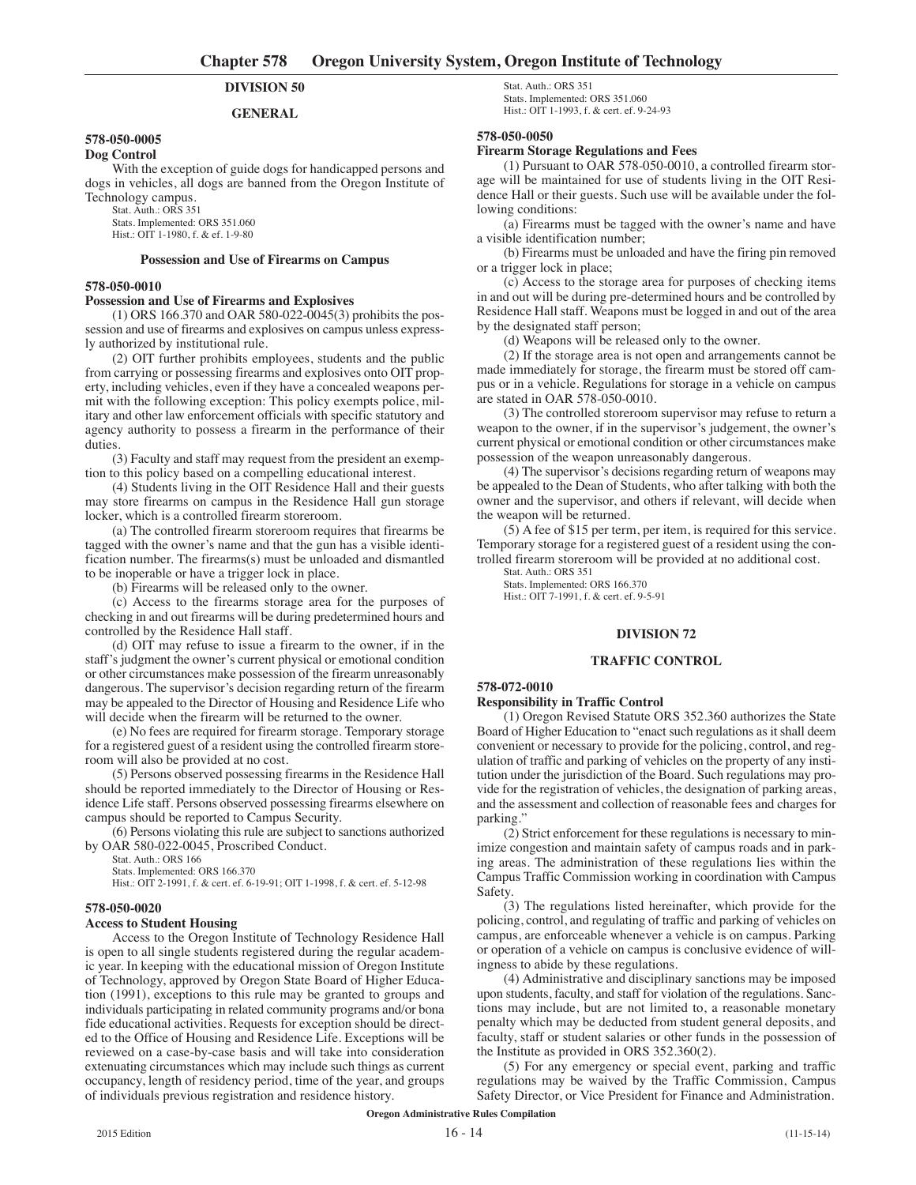# **DIVISION 50**

#### **GENERAL**

## **578-050-0005**

**Dog Control**

With the exception of guide dogs for handicapped persons and dogs in vehicles, all dogs are banned from the Oregon Institute of Technology campus.

Stat. Auth.: ORS 351

Stats. Implemented: ORS 351.060

Hist.: OIT 1-1980, f. & ef. 1-9-80

## **Possession and Use of Firearms on Campus**

### **578-050-0010**

#### **Possession and Use of Firearms and Explosives**

(1) ORS 166.370 and OAR 580-022-0045(3) prohibits the possession and use of firearms and explosives on campus unless expressly authorized by institutional rule.

(2) OIT further prohibits employees, students and the public from carrying or possessing firearms and explosives onto OIT property, including vehicles, even if they have a concealed weapons permit with the following exception: This policy exempts police, military and other law enforcement officials with specific statutory and agency authority to possess a firearm in the performance of their duties.

(3) Faculty and staff may request from the president an exemption to this policy based on a compelling educational interest.

(4) Students living in the OIT Residence Hall and their guests may store firearms on campus in the Residence Hall gun storage locker, which is a controlled firearm storeroom.

(a) The controlled firearm storeroom requires that firearms be tagged with the owner's name and that the gun has a visible identification number. The firearms(s) must be unloaded and dismantled to be inoperable or have a trigger lock in place.

(b) Firearms will be released only to the owner.

(c) Access to the firearms storage area for the purposes of checking in and out firearms will be during predetermined hours and controlled by the Residence Hall staff.

(d) OIT may refuse to issue a firearm to the owner, if in the staff's judgment the owner's current physical or emotional condition or other circumstances make possession of the firearm unreasonably dangerous. The supervisor's decision regarding return of the firearm may be appealed to the Director of Housing and Residence Life who will decide when the firearm will be returned to the owner.

(e) No fees are required for firearm storage. Temporary storage for a registered guest of a resident using the controlled firearm storeroom will also be provided at no cost.

(5) Persons observed possessing firearms in the Residence Hall should be reported immediately to the Director of Housing or Residence Life staff. Persons observed possessing firearms elsewhere on campus should be reported to Campus Security.

(6) Persons violating this rule are subject to sanctions authorized by OAR 580-022-0045, Proscribed Conduct.

Stat. Auth.: ORS 166

Stats. Implemented: ORS 166.370 Hist.: OIT 2-1991, f. & cert. ef. 6-19-91; OIT 1-1998, f. & cert. ef. 5-12-98

#### **578-050-0020**

#### **Access to Student Housing**

Access to the Oregon Institute of Technology Residence Hall is open to all single students registered during the regular academic year. In keeping with the educational mission of Oregon Institute of Technology, approved by Oregon State Board of Higher Education (1991), exceptions to this rule may be granted to groups and individuals participating in related community programs and/or bona fide educational activities. Requests for exception should be directed to the Office of Housing and Residence Life. Exceptions will be reviewed on a case-by-case basis and will take into consideration extenuating circumstances which may include such things as current occupancy, length of residency period, time of the year, and groups of individuals previous registration and residence history.

Stat. Auth.: ORS 351 Stats. Implemented: ORS 351.060 Hist.: OIT 1-1993, f. & cert. ef. 9-24-93

#### **578-050-0050**

#### **Firearm Storage Regulations and Fees**

(1) Pursuant to OAR 578-050-0010, a controlled firearm storage will be maintained for use of students living in the OIT Residence Hall or their guests. Such use will be available under the following conditions:

(a) Firearms must be tagged with the owner's name and have a visible identification number;

(b) Firearms must be unloaded and have the firing pin removed or a trigger lock in place;

(c) Access to the storage area for purposes of checking items in and out will be during pre-determined hours and be controlled by Residence Hall staff. Weapons must be logged in and out of the area by the designated staff person;

(d) Weapons will be released only to the owner.

(2) If the storage area is not open and arrangements cannot be made immediately for storage, the firearm must be stored off campus or in a vehicle. Regulations for storage in a vehicle on campus are stated in OAR 578-050-0010.

(3) The controlled storeroom supervisor may refuse to return a weapon to the owner, if in the supervisor's judgement, the owner's current physical or emotional condition or other circumstances make possession of the weapon unreasonably dangerous.

(4) The supervisor's decisions regarding return of weapons may be appealed to the Dean of Students, who after talking with both the owner and the supervisor, and others if relevant, will decide when the weapon will be returned.

(5) A fee of \$15 per term, per item, is required for this service. Temporary storage for a registered guest of a resident using the controlled firearm storeroom will be provided at no additional cost.

Stat. Auth.: ORS 351 Stats. Implemented: ORS 166.370 Hist.: OIT 7-1991, f. & cert. ef. 9-5-91

### **DIVISION 72**

#### **TRAFFIC CONTROL**

#### **578-072-0010**

#### **Responsibility in Traffic Control**

(1) Oregon Revised Statute ORS 352.360 authorizes the State Board of Higher Education to "enact such regulations as it shall deem convenient or necessary to provide for the policing, control, and regulation of traffic and parking of vehicles on the property of any institution under the jurisdiction of the Board. Such regulations may provide for the registration of vehicles, the designation of parking areas, and the assessment and collection of reasonable fees and charges for parking."

(2) Strict enforcement for these regulations is necessary to minimize congestion and maintain safety of campus roads and in parking areas. The administration of these regulations lies within the Campus Traffic Commission working in coordination with Campus **Safety** 

(3) The regulations listed hereinafter, which provide for the policing, control, and regulating of traffic and parking of vehicles on campus, are enforceable whenever a vehicle is on campus. Parking or operation of a vehicle on campus is conclusive evidence of willingness to abide by these regulations.

(4) Administrative and disciplinary sanctions may be imposed upon students, faculty, and staff for violation of the regulations. Sanctions may include, but are not limited to, a reasonable monetary penalty which may be deducted from student general deposits, and faculty, staff or student salaries or other funds in the possession of the Institute as provided in ORS 352.360(2).

(5) For any emergency or special event, parking and traffic regulations may be waived by the Traffic Commission, Campus Safety Director, or Vice President for Finance and Administration.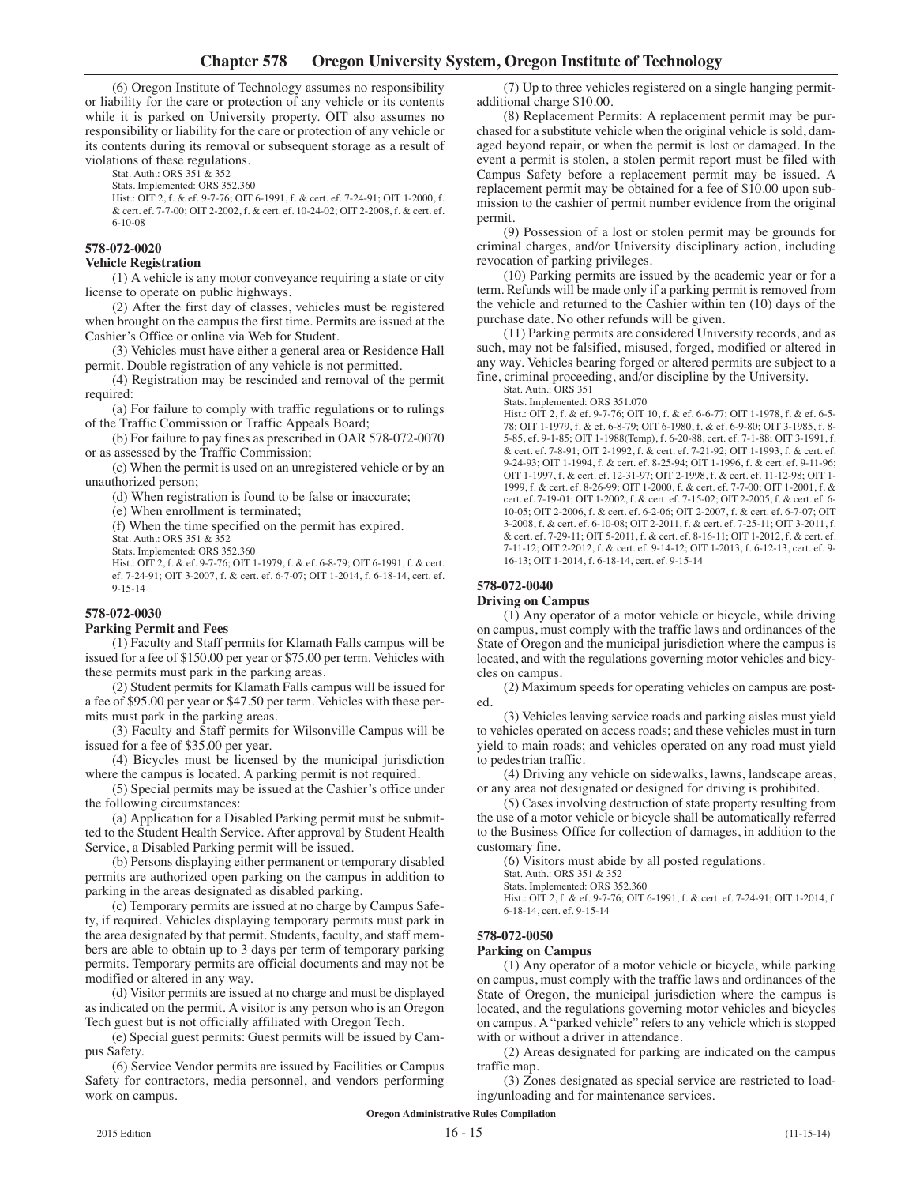(6) Oregon Institute of Technology assumes no responsibility or liability for the care or protection of any vehicle or its contents while it is parked on University property. OIT also assumes no responsibility or liability for the care or protection of any vehicle or its contents during its removal or subsequent storage as a result of violations of these regulations.

Stat. Auth.: ORS 351 & 352

Stats. Implemented: ORS 352.360

Hist.: OIT 2, f. & ef. 9-7-76; OIT 6-1991, f. & cert. ef. 7-24-91; OIT 1-2000, f. & cert. ef. 7-7-00; OIT 2-2002, f. & cert. ef. 10-24-02; OIT 2-2008, f. & cert. ef. 6-10-08

## **578-072-0020**

#### **Vehicle Registration**

(1) A vehicle is any motor conveyance requiring a state or city license to operate on public highways.

(2) After the first day of classes, vehicles must be registered when brought on the campus the first time. Permits are issued at the Cashier's Office or online via Web for Student.

(3) Vehicles must have either a general area or Residence Hall permit. Double registration of any vehicle is not permitted.

(4) Registration may be rescinded and removal of the permit required:

(a) For failure to comply with traffic regulations or to rulings of the Traffic Commission or Traffic Appeals Board;

(b) For failure to pay fines as prescribed in OAR 578-072-0070 or as assessed by the Traffic Commission;

(c) When the permit is used on an unregistered vehicle or by an unauthorized person;

(d) When registration is found to be false or inaccurate;

(e) When enrollment is terminated;

(f) When the time specified on the permit has expired.

Stat. Auth.: ORS 351 & 352

Stats. Implemented: ORS 352.360

Hist.: OIT 2, f. & ef. 9-7-76; OIT 1-1979, f. & ef. 6-8-79; OIT 6-1991, f. & cert. ef. 7-24-91; OIT 3-2007, f. & cert. ef. 6-7-07; OIT 1-2014, f. 6-18-14, cert. ef. 9-15-14

# **578-072-0030**

## **Parking Permit and Fees**

(1) Faculty and Staff permits for Klamath Falls campus will be issued for a fee of \$150.00 per year or \$75.00 per term. Vehicles with these permits must park in the parking areas.

(2) Student permits for Klamath Falls campus will be issued for a fee of \$95.00 per year or \$47.50 per term. Vehicles with these permits must park in the parking areas.

(3) Faculty and Staff permits for Wilsonville Campus will be issued for a fee of \$35.00 per year.

(4) Bicycles must be licensed by the municipal jurisdiction where the campus is located. A parking permit is not required.

(5) Special permits may be issued at the Cashier's office under the following circumstances:

(a) Application for a Disabled Parking permit must be submitted to the Student Health Service. After approval by Student Health Service, a Disabled Parking permit will be issued.

(b) Persons displaying either permanent or temporary disabled permits are authorized open parking on the campus in addition to parking in the areas designated as disabled parking.

(c) Temporary permits are issued at no charge by Campus Safety, if required. Vehicles displaying temporary permits must park in the area designated by that permit. Students, faculty, and staff members are able to obtain up to 3 days per term of temporary parking permits. Temporary permits are official documents and may not be modified or altered in any way.

(d) Visitor permits are issued at no charge and must be displayed as indicated on the permit. A visitor is any person who is an Oregon Tech guest but is not officially affiliated with Oregon Tech.

(e) Special guest permits: Guest permits will be issued by Campus Safety.

(6) Service Vendor permits are issued by Facilities or Campus Safety for contractors, media personnel, and vendors performing work on campus.

(7) Up to three vehicles registered on a single hanging permitadditional charge \$10.00.

(8) Replacement Permits: A replacement permit may be purchased for a substitute vehicle when the original vehicle is sold, damaged beyond repair, or when the permit is lost or damaged. In the event a permit is stolen, a stolen permit report must be filed with Campus Safety before a replacement permit may be issued. A replacement permit may be obtained for a fee of \$10.00 upon submission to the cashier of permit number evidence from the original permit.

(9) Possession of a lost or stolen permit may be grounds for criminal charges, and/or University disciplinary action, including revocation of parking privileges.

(10) Parking permits are issued by the academic year or for a term. Refunds will be made only if a parking permit is removed from the vehicle and returned to the Cashier within ten (10) days of the purchase date. No other refunds will be given.

(11) Parking permits are considered University records, and as such, may not be falsified, misused, forged, modified or altered in any way. Vehicles bearing forged or altered permits are subject to a fine, criminal proceeding, and/or discipline by the University.

Stat. Auth.: ORS 351 Stats. Implemented: ORS 351.070

Hist.: OIT 2, f. & ef. 9-7-76; OIT 10, f. & ef. 6-6-77; OIT 1-1978, f. & ef. 6-5- 78; OIT 1-1979, f. & ef. 6-8-79; OIT 6-1980, f. & ef. 6-9-80; OIT 3-1985, f. 8- 5-85, ef. 9-1-85; OIT 1-1988(Temp), f. 6-20-88, cert. ef. 7-1-88; OIT 3-1991, f. & cert. ef. 7-8-91; OIT 2-1992, f. & cert. ef. 7-21-92; OIT 1-1993, f. & cert. ef. 9-24-93; OIT 1-1994, f. & cert. ef. 8-25-94; OIT 1-1996, f. & cert. ef. 9-11-96; OIT 1-1997, f. & cert. ef. 12-31-97; OIT 2-1998, f. & cert. ef. 11-12-98; OIT 1- 1999, f. & cert. ef. 8-26-99; OIT 1-2000, f. & cert. ef. 7-7-00; OIT 1-2001, f. & cert. ef. 7-19-01; OIT 1-2002, f. & cert. ef. 7-15-02; OIT 2-2005, f. & cert. ef. 6- 10-05; OIT 2-2006, f. & cert. ef. 6-2-06; OIT 2-2007, f. & cert. ef. 6-7-07; OIT 3-2008, f. & cert. ef. 6-10-08; OIT 2-2011, f. & cert. ef. 7-25-11; OIT 3-2011, f. & cert. ef. 7-29-11; OIT 5-2011, f. & cert. ef. 8-16-11; OIT 1-2012, f. & cert. ef. 7-11-12; OIT 2-2012, f. & cert. ef. 9-14-12; OIT 1-2013, f. 6-12-13, cert. ef. 9- 16-13; OIT 1-2014, f. 6-18-14, cert. ef. 9-15-14

# **578-072-0040**

## **Driving on Campus**

(1) Any operator of a motor vehicle or bicycle, while driving on campus, must comply with the traffic laws and ordinances of the State of Oregon and the municipal jurisdiction where the campus is located, and with the regulations governing motor vehicles and bicycles on campus.

(2) Maximum speeds for operating vehicles on campus are posted.

(3) Vehicles leaving service roads and parking aisles must yield to vehicles operated on access roads; and these vehicles must in turn yield to main roads; and vehicles operated on any road must yield to pedestrian traffic.

(4) Driving any vehicle on sidewalks, lawns, landscape areas, or any area not designated or designed for driving is prohibited.

(5) Cases involving destruction of state property resulting from the use of a motor vehicle or bicycle shall be automatically referred to the Business Office for collection of damages, in addition to the customary fine.

(6) Visitors must abide by all posted regulations.

Stat. Auth.: ORS 351 & 352

Stats. Implemented: ORS 352.360

Hist.: OIT 2, f. & ef. 9-7-76; OIT 6-1991, f. & cert. ef. 7-24-91; OIT 1-2014, f. 6-18-14, cert. ef. 9-15-14

## **578-072-0050**

## **Parking on Campus**

(1) Any operator of a motor vehicle or bicycle, while parking on campus, must comply with the traffic laws and ordinances of the State of Oregon, the municipal jurisdiction where the campus is located, and the regulations governing motor vehicles and bicycles on campus. A "parked vehicle" refers to any vehicle which is stopped with or without a driver in attendance.

(2) Areas designated for parking are indicated on the campus traffic map.

(3) Zones designated as special service are restricted to loading/unloading and for maintenance services.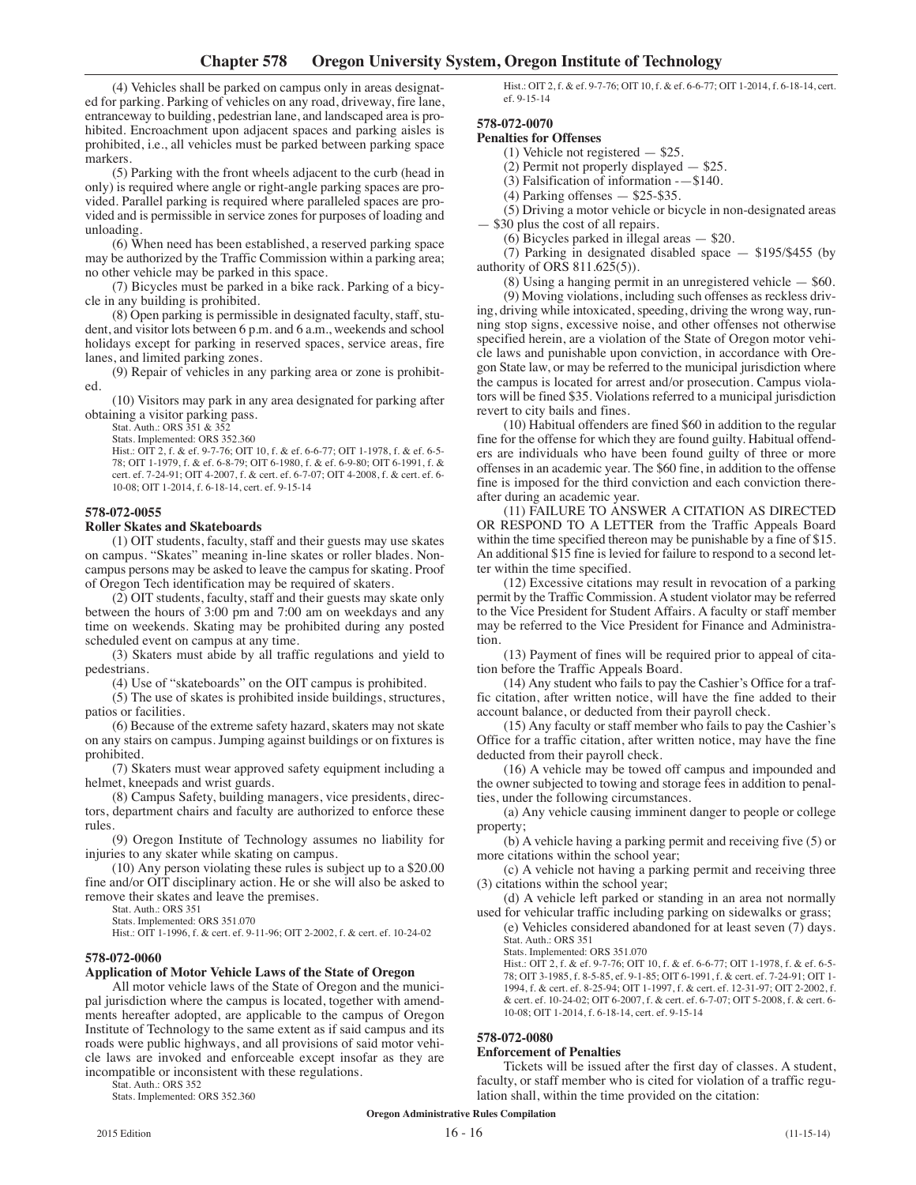(4) Vehicles shall be parked on campus only in areas designated for parking. Parking of vehicles on any road, driveway, fire lane, entranceway to building, pedestrian lane, and landscaped area is prohibited. Encroachment upon adjacent spaces and parking aisles is prohibited, i.e., all vehicles must be parked between parking space markers.

(5) Parking with the front wheels adjacent to the curb (head in only) is required where angle or right-angle parking spaces are provided. Parallel parking is required where paralleled spaces are provided and is permissible in service zones for purposes of loading and unloading.

(6) When need has been established, a reserved parking space may be authorized by the Traffic Commission within a parking area; no other vehicle may be parked in this space.

(7) Bicycles must be parked in a bike rack. Parking of a bicycle in any building is prohibited.

(8) Open parking is permissible in designated faculty, staff, student, and visitor lots between 6 p.m. and 6 a.m., weekends and school holidays except for parking in reserved spaces, service areas, fire lanes, and limited parking zones.

(9) Repair of vehicles in any parking area or zone is prohibited.

(10) Visitors may park in any area designated for parking after obtaining a visitor parking pass.

Stat. Auth.: ORS 351 & 352 Stats. Implemented: ORS 352.360

Hist.: OIT 2, f. & ef. 9-7-76; OIT 10, f. & ef. 6-6-77; OIT 1-1978, f. & ef. 6-5- 78; OIT 1-1979, f. & ef. 6-8-79; OIT 6-1980, f. & ef. 6-9-80; OIT 6-1991, f. & cert. ef. 7-24-91; OIT 4-2007, f. & cert. ef. 6-7-07; OIT 4-2008, f. & cert. ef. 6- 10-08; OIT 1-2014, f. 6-18-14, cert. ef. 9-15-14

## **578-072-0055**

## **Roller Skates and Skateboards**

(1) OIT students, faculty, staff and their guests may use skates on campus. "Skates" meaning in-line skates or roller blades. Noncampus persons may be asked to leave the campus for skating. Proof of Oregon Tech identification may be required of skaters.

(2) OIT students, faculty, staff and their guests may skate only between the hours of 3:00 pm and 7:00 am on weekdays and any time on weekends. Skating may be prohibited during any posted scheduled event on campus at any time.

(3) Skaters must abide by all traffic regulations and yield to pedestrians.

(4) Use of "skateboards" on the OIT campus is prohibited.

(5) The use of skates is prohibited inside buildings, structures, patios or facilities.

(6) Because of the extreme safety hazard, skaters may not skate on any stairs on campus. Jumping against buildings or on fixtures is prohibited.

(7) Skaters must wear approved safety equipment including a helmet, kneepads and wrist guards.

(8) Campus Safety, building managers, vice presidents, directors, department chairs and faculty are authorized to enforce these rules.

(9) Oregon Institute of Technology assumes no liability for injuries to any skater while skating on campus.

(10) Any person violating these rules is subject up to a \$20.00 fine and/or OIT disciplinary action. He or she will also be asked to remove their skates and leave the premises.

Stat. Auth.: ORS 351

Stats. Implemented: ORS 351.070

Hist.: OIT 1-1996, f. & cert. ef. 9-11-96; OIT 2-2002, f. & cert. ef. 10-24-02

## **578-072-0060**

#### **Application of Motor Vehicle Laws of the State of Oregon**

All motor vehicle laws of the State of Oregon and the municipal jurisdiction where the campus is located, together with amendments hereafter adopted, are applicable to the campus of Oregon Institute of Technology to the same extent as if said campus and its roads were public highways, and all provisions of said motor vehicle laws are invoked and enforceable except insofar as they are incompatible or inconsistent with these regulations.

Stat. Auth.: ORS 352

Stats. Implemented: ORS 352.360

Hist.: OIT 2, f. & ef. 9-7-76; OIT 10, f. & ef. 6-6-77; OIT 1-2014, f. 6-18-14, cert. ef. 9-15-14

# **578-072-0070**

**Penalties for Offenses**

(1) Vehicle not registered — \$25.

(2) Permit not properly displayed — \$25.

(3) Falsification of information -—\$140.

(4) Parking offenses — \$25-\$35.

(5) Driving a motor vehicle or bicycle in non-designated areas — \$30 plus the cost of all repairs.

(6) Bicycles parked in illegal areas — \$20.

(7) Parking in designated disabled space — \$195/\$455 (by authority of ORS 811.625(5)).

(8) Using a hanging permit in an unregistered vehicle — \$60.

(9) Moving violations, including such offenses as reckless driving, driving while intoxicated, speeding, driving the wrong way, running stop signs, excessive noise, and other offenses not otherwise specified herein, are a violation of the State of Oregon motor vehicle laws and punishable upon conviction, in accordance with Oregon State law, or may be referred to the municipal jurisdiction where the campus is located for arrest and/or prosecution. Campus violators will be fined \$35. Violations referred to a municipal jurisdiction revert to city bails and fines.

(10) Habitual offenders are fined \$60 in addition to the regular fine for the offense for which they are found guilty. Habitual offenders are individuals who have been found guilty of three or more offenses in an academic year. The \$60 fine, in addition to the offense fine is imposed for the third conviction and each conviction thereafter during an academic year.

(11) FAILURE TO ANSWER A CITATION AS DIRECTED OR RESPOND TO A LETTER from the Traffic Appeals Board within the time specified thereon may be punishable by a fine of \$15. An additional \$15 fine is levied for failure to respond to a second letter within the time specified.

(12) Excessive citations may result in revocation of a parking permit by the Traffic Commission. Astudent violator may be referred to the Vice President for Student Affairs. A faculty or staff member may be referred to the Vice President for Finance and Administration.

(13) Payment of fines will be required prior to appeal of citation before the Traffic Appeals Board.

(14) Any student who fails to pay the Cashier's Office for a traffic citation, after written notice, will have the fine added to their account balance, or deducted from their payroll check.

(15) Any faculty or staff member who fails to pay the Cashier's Office for a traffic citation, after written notice, may have the fine deducted from their payroll check.

(16) A vehicle may be towed off campus and impounded and the owner subjected to towing and storage fees in addition to penalties, under the following circumstances.

(a) Any vehicle causing imminent danger to people or college property;

(b) A vehicle having a parking permit and receiving five (5) or more citations within the school year;

(c) A vehicle not having a parking permit and receiving three citations within the school year;

(d) A vehicle left parked or standing in an area not normally used for vehicular traffic including parking on sidewalks or grass;

(e) Vehicles considered abandoned for at least seven (7) days. Stat. Auth.: ORS 351

Stats. Implemented: ORS 351.070

Hist.: OIT 2, f. & ef. 9-7-76; OIT 10, f. & ef. 6-6-77; OIT 1-1978, f. & ef. 6-5- 78; OIT 3-1985, f. 8-5-85, ef. 9-1-85; OIT 6-1991, f. & cert. ef. 7-24-91; OIT 1- 1994, f. & cert. ef. 8-25-94; OIT 1-1997, f. & cert. ef. 12-31-97; OIT 2-2002, f. & cert. ef. 10-24-02; OIT 6-2007, f. & cert. ef. 6-7-07; OIT 5-2008, f. & cert. 6- 10-08; OIT 1-2014, f. 6-18-14, cert. ef. 9-15-14

#### **578-072-0080**

#### **Enforcement of Penalties**

Tickets will be issued after the first day of classes. A student, faculty, or staff member who is cited for violation of a traffic regulation shall, within the time provided on the citation: